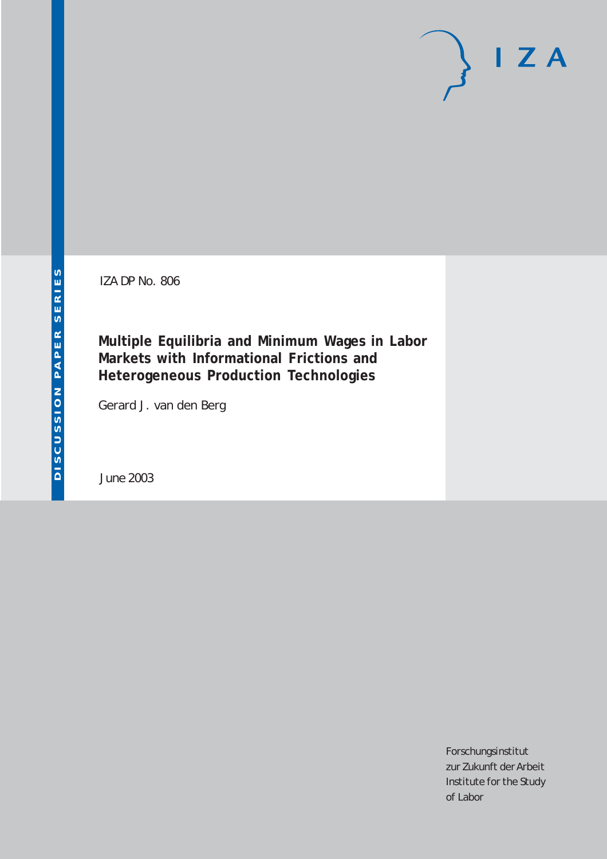IZA DP No. 806

**Multiple Equilibria and Minimum Wages in Labor Markets with Informational Frictions and Heterogeneous Production Technologies**

Gerard J. van den Berg

June 2003

Forschungsinstitut zur Zukunft der Arbeit Institute for the Study of Labor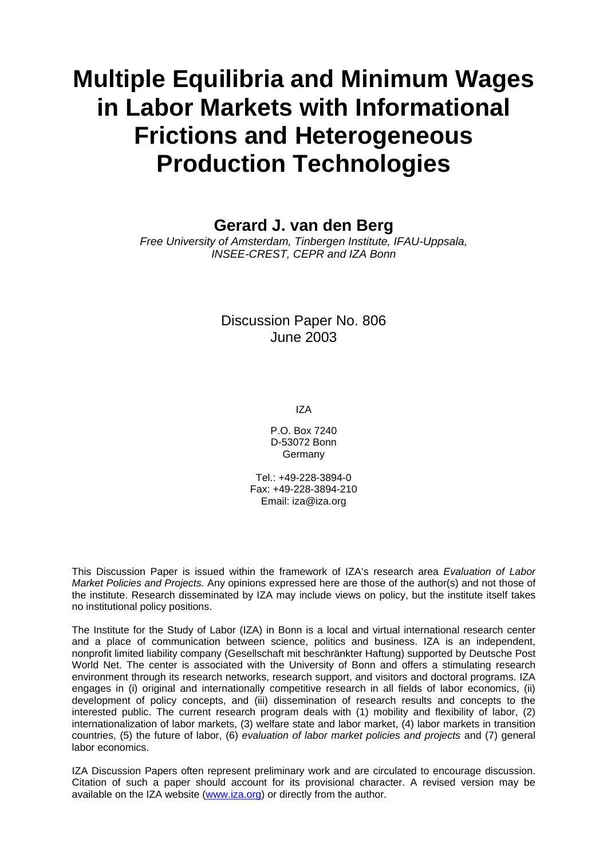# **Multiple Equilibria and Minimum Wages in Labor Markets with Informational Frictions and Heterogeneous Production Technologies**

**Gerard J. van den Berg** 

*Free University of Amsterdam, Tinbergen Institute, IFAU-Uppsala, INSEE-CREST, CEPR and IZA Bonn* 

> Discussion Paper No. 806 June 2003

> > IZA

P.O. Box 7240 D-53072 Bonn Germany

Tel.: +49-228-3894-0 Fax: +49-228-3894-210 Email: [iza@iza.org](mailto:iza@iza.org)

This Discussion Paper is issued within the framework of IZA's research area *Evaluation of Labor Market Policies and Projects.* Any opinions expressed here are those of the author(s) and not those of the institute. Research disseminated by IZA may include views on policy, but the institute itself takes no institutional policy positions.

The Institute for the Study of Labor (IZA) in Bonn is a local and virtual international research center and a place of communication between science, politics and business. IZA is an independent, nonprofit limited liability company (Gesellschaft mit beschränkter Haftung) supported by Deutsche Post World Net. The center is associated with the University of Bonn and offers a stimulating research environment through its research networks, research support, and visitors and doctoral programs. IZA engages in (i) original and internationally competitive research in all fields of labor economics, (ii) development of policy concepts, and (iii) dissemination of research results and concepts to the interested public. The current research program deals with (1) mobility and flexibility of labor, (2) internationalization of labor markets, (3) welfare state and labor market, (4) labor markets in transition countries, (5) the future of labor, (6) *evaluation of labor market policies and projects* and (7) general labor economics.

IZA Discussion Papers often represent preliminary work and are circulated to encourage discussion. Citation of such a paper should account for its provisional character. A revised version may be available on the IZA website ([www.iza.org](http://www.iza.org/)) or directly from the author.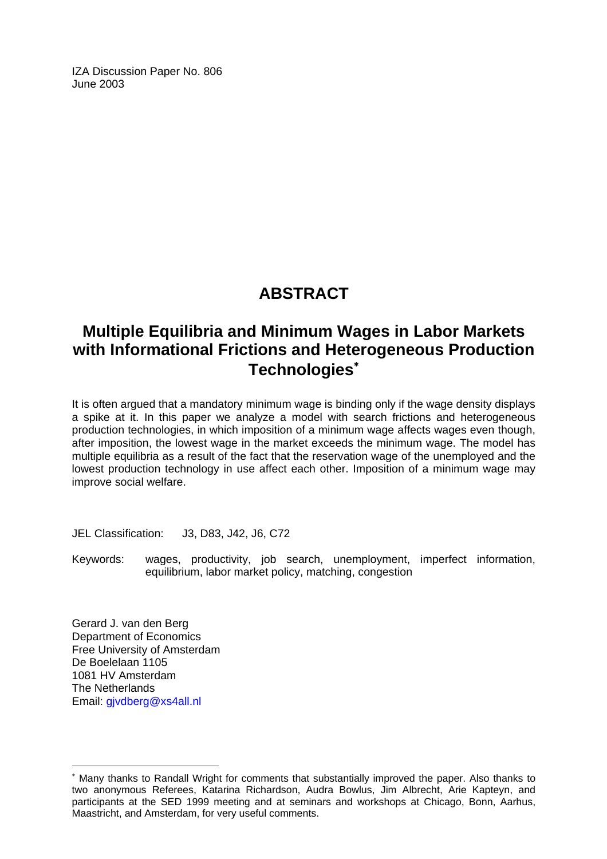IZA Discussion Paper No. 806 June 2003

# **ABSTRACT**

# **Multiple Equilibria and Minimum Wages in Labor Markets with Informational Frictions and Heterogeneous Production Technologies**[∗](#page-2-0)

It is often argued that a mandatory minimum wage is binding only if the wage density displays a spike at it. In this paper we analyze a model with search frictions and heterogeneous production technologies, in which imposition of a minimum wage affects wages even though, after imposition, the lowest wage in the market exceeds the minimum wage. The model has multiple equilibria as a result of the fact that the reservation wage of the unemployed and the lowest production technology in use affect each other. Imposition of a minimum wage may improve social welfare.

JEL Classification: J3, D83, J42, J6, C72

Keywords: wages, productivity, job search, unemployment, imperfect information, equilibrium, labor market policy, matching, congestion

Gerard J. van den Berg Department of Economics Free University of Amsterdam De Boelelaan 1105 1081 HV Amsterdam The Netherlands Email: [gjvdberg@xs4all.nl](mailto:gjvdberg@xs4all.nl)

 $\overline{a}$ 

<span id="page-2-0"></span><sup>∗</sup> Many thanks to Randall Wright for comments that substantially improved the paper. Also thanks to two anonymous Referees, Katarina Richardson, Audra Bowlus, Jim Albrecht, Arie Kapteyn, and participants at the SED 1999 meeting and at seminars and workshops at Chicago, Bonn, Aarhus, Maastricht, and Amsterdam, for very useful comments.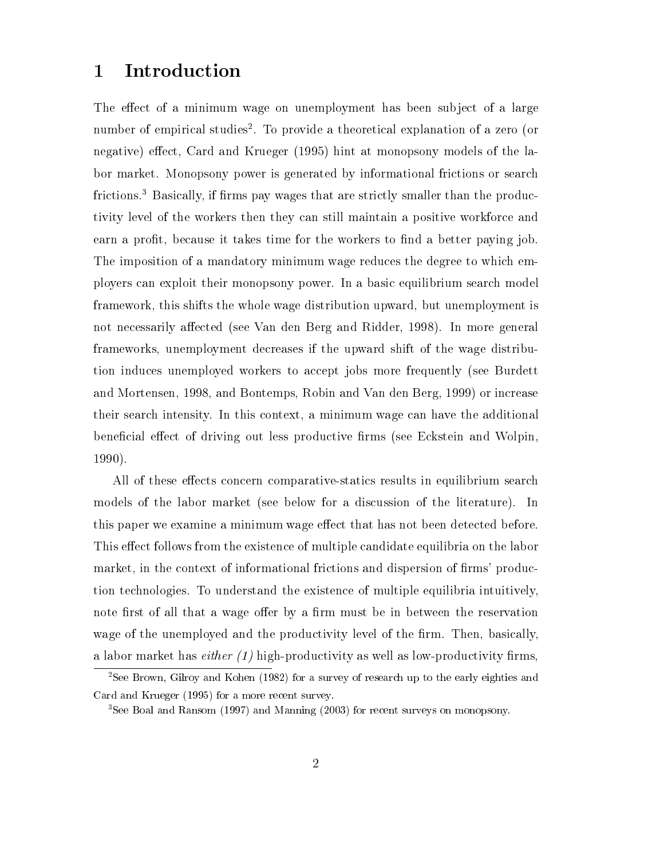### 1 Introduction

The effect of a minimum wage on unemployment has been subject of a large number of empirical studies2 . To provide a theoretical explanation of a zero (or negative) effect, Card and Krueger (1995) hint at monopsony models of the labor market. Monopsony power is generated by informational frictions or search frictions.<sup>3</sup> Basically, if firms pay wages that are strictly smaller than the productivity level of the workers then they can still maintain a positive workforce and earn a profit, because it takes time for the workers to find a better paying job. The imposition of a mandatory minimum wage reduces the degree to which employers can exploit their monopsony power. In a basic equilibrium search model framework, this shifts the whole wage distribution upward, but unemployment is not necessarily affected (see Van den Berg and Ridder, 1998). In more general frameworks, unemployment decreases if the upward shift of the wage distribution induces unemployed workers to accept jobs more frequently (see Burdett and Mortensen, 1998, and Bontemps, Robin and Van den Berg, 1999) or increase their search intensity. In this context, a minimum wage can have the additional beneficial effect of driving out less productive firms (see Eckstein and Wolpin, 1990).

All of these effects concern comparative-statics results in equilibrium search models of the labor market (see below for a discussion of the literature). In this paper we examine a minimum wage effect that has not been detected before. This effect follows from the existence of multiple candidate equilibria on the labor market, in the context of informational frictions and dispersion of firms' production technologies. To understand the existence of multiple equilibria intuitively, note first of all that a wage offer by a firm must be in between the reservation wage of the unemployed and the productivity level of the firm. Then, basically, a labor market has *either*  $(1)$  high-productivity as well as low-productivity firms,

<sup>2</sup>See Brown, Gilroy and Kohen (1982) for a survey of research up to the early eighties and Card and Krueger (1995) for a more recent survey.

<sup>3</sup>See Boal and Ransom (1997) and Manning (2003) for recent surveys on monopsony.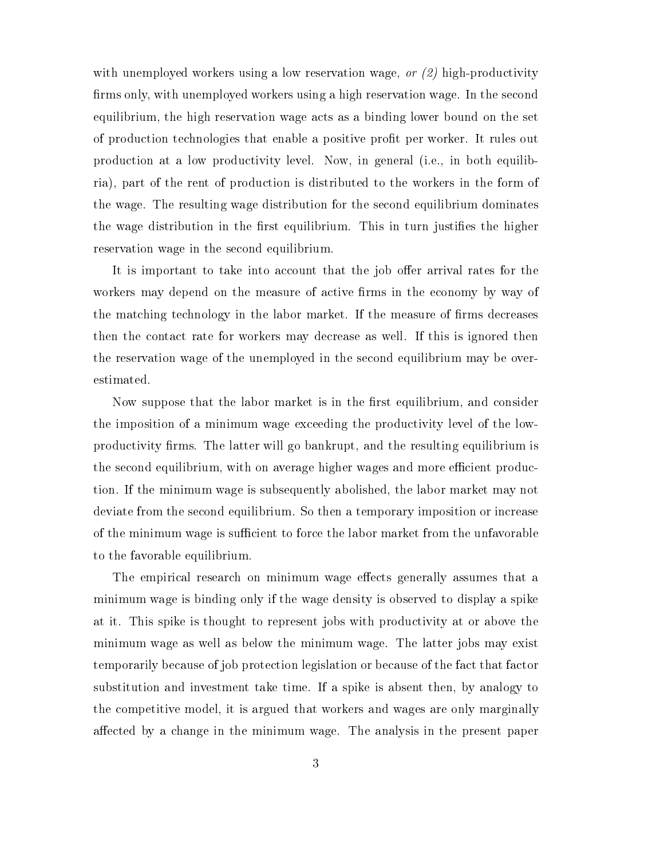with unemployed workers using a low reservation wage, or  $(2)$  high-productivity firms only, with unemployed workers using a high reservation wage. In the second equilibrium, the high reservation wage acts as a binding lower bound on the set of production technologies that enable a positive profit per worker. It rules out production at a low productivity level. Now, in general (i.e., in both equilibria), part of the rent of production is distributed to the workers in the form of the wage. The resulting wage distribution for the second equilibrium dominates the wage distribution in the first equilibrium. This in turn justifies the higher reservation wage in the second equilibrium.

It is important to take into account that the job offer arrival rates for the workers may depend on the measure of active firms in the economy by way of the matching technology in the labor market. If the measure of firms decreases then the contact rate for workers may decrease as well. If this is ignored then the reservation wage of the unemployed in the second equilibrium may be overestimated.

Now suppose that the labor market is in the first equilibrium, and consider the imposition of a minimum wage exceeding the productivity level of the lowproductivity firms. The latter will go bankrupt, and the resulting equilibrium is the second equilibrium, with on average higher wages and more efficient production. If the minimum wage is subsequently abolished, the labor market may not deviate from the second equilibrium. So then a temporary imposition or increase of the minimum wage is sufficient to force the labor market from the unfavorable to the favorable equilibrium.

The empirical research on minimum wage effects generally assumes that a minimum wage is binding only if the wage density is observed to display a spike at it. This spike is thought to represent jobs with productivity at or above the minimum wage as well as below the minimum wage. The latter jobs may exist temporarily because of job protection legislation or because of the fact that factor substitution and investment take time. If a spike is absent then, by analogy to the competitive model, it is argued that workers and wages are only marginally affected by a change in the minimum wage. The analysis in the present paper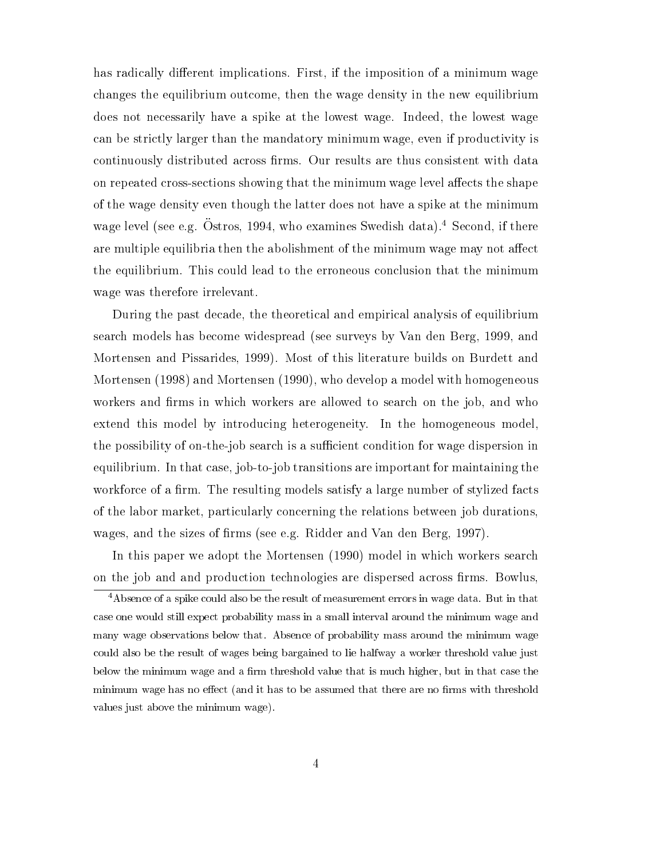has radically different implications. First, if the imposition of a minimum wage changes the equilibrium outcome, then the wage density in the new equilibrium does not necessarily have a spike at the lowest wage. Indeed, the lowest wage can be strictly larger than the mandatory minimum wage, even if productivity is continuously distributed across firms. Our results are thus consistent with data on repeated cross-sections showing that the minimum wage level affects the shape of the wage density even though the latter does not have a spike at the minimum wage level (see e.g. Ostros, 1994, who examines Swedish data). Second, if there are multiple equilibria then the abolishment of the minimum wage may not affect the equilibrium. This could lead to the erroneous conclusion that the minimum wage was therefore irrelevant.

During the past decade, the theoretical and empirical analysis of equilibrium search models has become widespread (see surveys by Van den Berg, 1999, and Mortensen and Pissarides, 1999). Most of this literature builds on Burdett and Mortensen (1998) and Mortensen (1990), who develop a model with homogeneous workers and firms in which workers are allowed to search on the job, and who extend this model by introducing heterogeneity. In the homogeneous model, the possibility of on-the-job search is a sufficient condition for wage dispersion in equilibrium. In that case, job-to-job transitions are important for maintaining the workforce of a firm. The resulting models satisfy a large number of stylized facts of the labor market, particularly concerning the relations between job durations, wages, and the sizes of firms (see e.g. Ridder and Van den Berg, 1997).

In this paper we adopt the Mortensen (1990) model in which workers search on the job and and production technologies are dispersed across firms. Bowlus,

<sup>4</sup>Absence of a spike could also be the result of measurement errors in wage data. But in that case one would still expect probability mass in a small interval around the minimum wage and many wage observations below that. Absence of probability mass around the minimum wage could also be the result of wages being bargained to lie halfway a worker threshold value just below the minimum wage and a firm threshold value that is much higher, but in that case the minimum wage has no effect (and it has to be assumed that there are no firms with threshold values just above the minimum wage).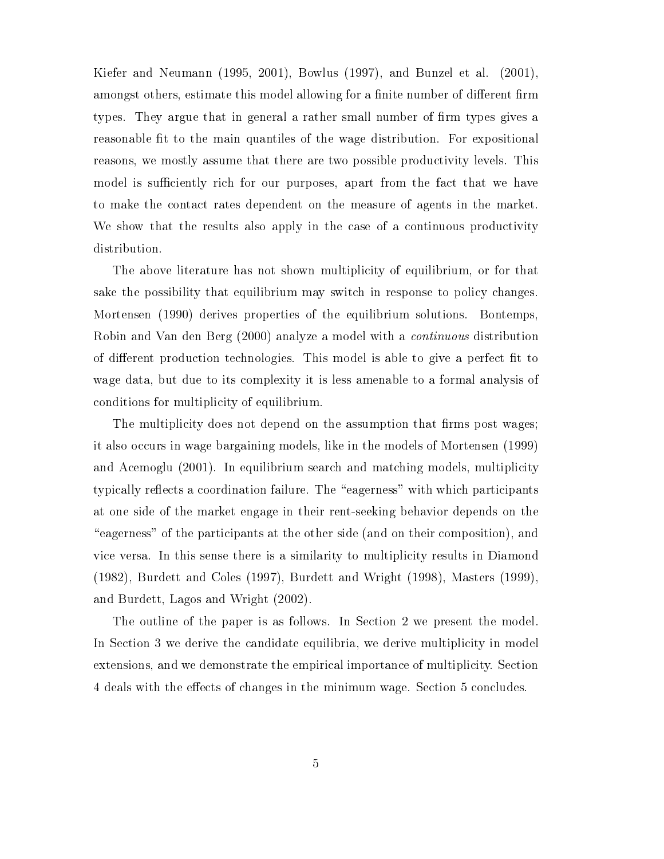Kiefer and Neumann (1995, 2001), Bowlus (1997), and Bunzel et al. (2001), amongst others, estimate this model allowing for a finite number of different firm types. They argue that in general a rather small number of firm types gives a reasonable fit to the main quantiles of the wage distribution. For expositional reasons, we mostly assume that there are two possible productivity levels. This model is sufficiently rich for our purposes, apart from the fact that we have to make the contact rates dependent on the measure of agents in the market. We show that the results also apply in the case of a continuous productivity distribution.

The above literature has not shown multiplicity of equilibrium, or for that sake the possibility that equilibrium may switch in response to policy changes. Mortensen (1990) derives properties of the equilibrium solutions. Bontemps, Robin and Van den Berg (2000) analyze a model with a continuous distribution of different production technologies. This model is able to give a perfect fit to wage data, but due to its complexity it is less amenable to a formal analysis of conditions for multiplicity of equilibrium.

The multiplicity does not depend on the assumption that firms post wages; it also occurs in wage bargaining models, like in the models of Mortensen (1999) and Acemoglu (2001). In equilibrium search and matching models, multiplicity typically reflects a coordination failure. The "eagerness" with which participants at one side of the market engage in their rent-seeking behavior depends on the "eagerness" of the participants at the other side (and on their composition), and vice versa. In this sense there is a similarity to multiplicity results in Diamond (1982), Burdett and Coles (1997), Burdett and Wright (1998), Masters (1999), and Burdett, Lagos and Wright (2002).

The outline of the paper is as follows. In Section 2 we present the model. In Section 3 we derive the candidate equilibria, we derive multiplicity in model extensions, and we demonstrate the empirical importance of multiplicity. Section 4 deals with the effects of changes in the minimum wage. Section 5 concludes.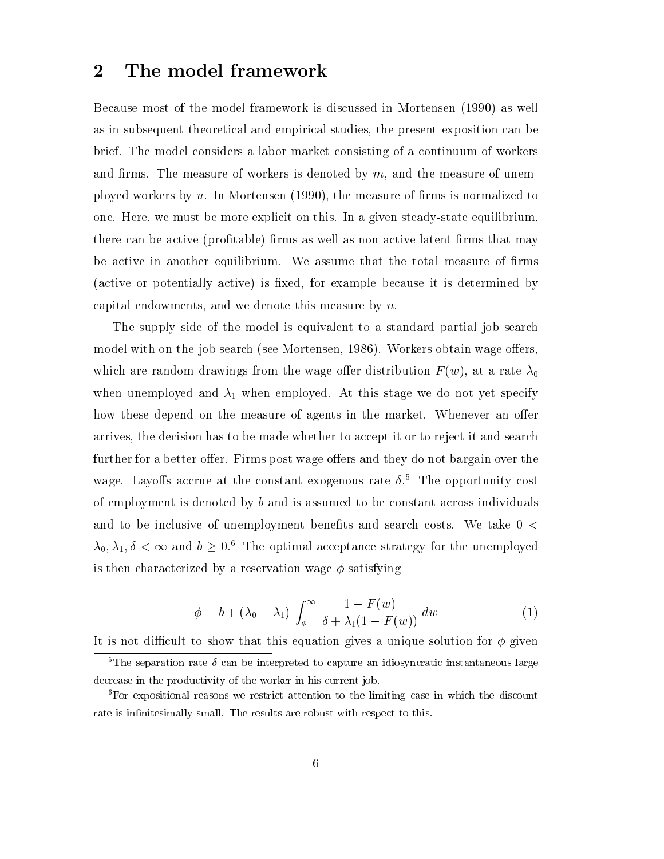### 2 The model framework

Because most of the model framework is discussed in Mortensen (1990) as well as in subsequent theoretical and empirical studies, the present exposition can be brief. The model considers a labor market consisting of a continuum of workers and firms. The measure of workers is denoted by  $m$ , and the measure of unemployed workers by  $u$ . In Mortensen (1990), the measure of firms is normalized to one. Here, we must be more explicit on this. In a given steady-state equilibrium, there can be active (profitable) firms as well as non-active latent firms that may be active in another equilibrium. We assume that the total measure of firms (active or potentially active) is fixed, for example because it is determined by capital endowments, and we denote this measure by n.

The supply side of the model is equivalent to a standard partial job search model with on-the-job search (see Mortensen, 1986). Workers obtain wage offers, which are random drawings from the wage offer distribution  $F(w)$ , at a rate  $\lambda_0$ when unemployed and  $\lambda_1$  when employed. At this stage we do not yet specify how these depend on the measure of agents in the market. Whenever an offer arrives, the decision has to be made whether to accept it or to reject it and search further for a better offer. Firms post wage offers and they do not bargain over the wage. Layoffs accrue at the constant exogenous rate  $\delta$ <sup>5</sup>. The opportunity cost of employment is denoted by  $b$  and is assumed to be constant across individuals and to be inclusive of unemployment benefits and search costs. We take  $0 <$  $\lambda_0, \lambda_1, \delta < \infty$  and  $b \geq 0.6$  The optimal acceptance strategy for the unemployed is then characterized by a reservation wage  $\phi$  satisfying

$$
\phi = b + (\lambda_0 - \lambda_1) \int_{\phi}^{\infty} \frac{1 - F(w)}{\delta + \lambda_1 (1 - F(w))} dw \tag{1}
$$

It is not difficult to show that this equation gives a unique solution for  $\phi$  given

<sup>&</sup>lt;sup>5</sup>The separation rate  $\delta$  can be interpreted to capture an idiosyncratic instantaneous large decrease in the productivity of the worker in his current job.

<sup>6</sup>For expositional reasons we restrict attention to the limiting case in which the discount rate is infinitesimally small. The results are robust with respect to this.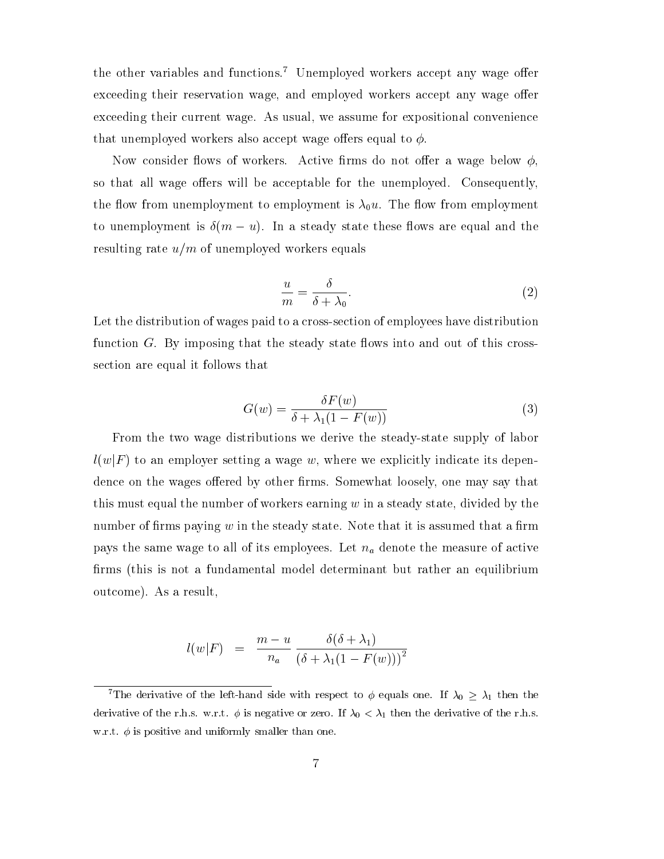the other variables and functions.<sup>7</sup> Unemployed workers accept any wage offer exceeding their reservation wage, and employed workers accept any wage offer exceeding their current wage. As usual, we assume for expositional convenience that unemployed workers also accept wage offers equal to  $\phi$ .

Now consider flows of workers. Active firms do not offer a wage below  $\phi$ . so that all wage offers will be acceptable for the unemployed. Consequently, the flow from unemployment to employment is  $\lambda_0 u$ . The flow from employment to unemployment is  $\delta(m - u)$ . In a steady state these flows are equal and the resulting rate  $u/m$  of unemployed workers equals

$$
\frac{u}{m} = \frac{\delta}{\delta + \lambda_0}.\tag{2}
$$

Let the distribution of wages paid to a cross-section of employees have distribution function  $G$ . By imposing that the steady state flows into and out of this crosssection are equal it follows that

$$
G(w) = \frac{\delta F(w)}{\delta + \lambda_1 (1 - F(w))}
$$
\n(3)

From the two wage distributions we derive the steady-state supply of labor  $l(w|F)$  to an employer setting a wage w, where we explicitly indicate its dependence on the wages offered by other firms. Somewhat loosely, one may say that this must equal the number of workers earning  $w$  in a steady state, divided by the number of firms paying  $w$  in the steady state. Note that it is assumed that a firm pays the same wage to all of its employees. Let  $n_a$  denote the measure of active firms (this is not a fundamental model determinant but rather an equilibrium outcome). As a result,

$$
l(w|F) = \frac{m-u}{n_a} \frac{\delta(\delta + \lambda_1)}{(\delta + \lambda_1(1 - F(w)))^2}
$$

<sup>&</sup>lt;sup>7</sup>The derivative of the left-hand side with respect to  $\phi$  equals one. If  $\lambda_0 \geq \lambda_1$  then the derivative of the r.h.s. w.r.t.  $\phi$  is negative or zero. If  $\lambda_0 < \lambda_1$  then the derivative of the r.h.s. w.r.t.  $\phi$  is positive and uniformly smaller than one.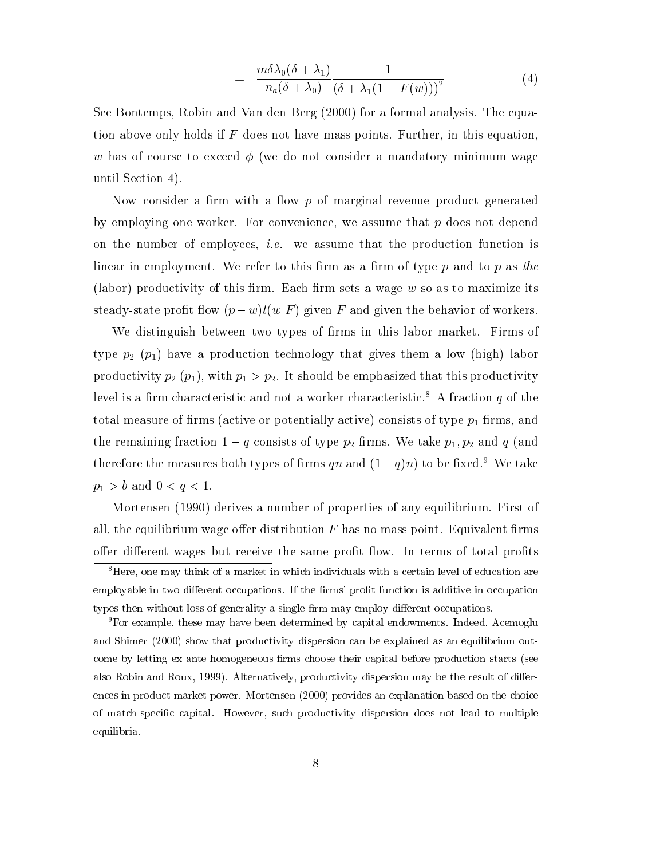$$
= \frac{m\delta\lambda_0(\delta+\lambda_1)}{n_a(\delta+\lambda_0)}\frac{1}{(\delta+\lambda_1(1-F(w)))^2}
$$
(4)

See Bontemps, Robin and Van den Berg (2000) for a formal analysis. The equation above only holds if  $F$  does not have mass points. Further, in this equation, w has of course to exceed  $\phi$  (we do not consider a mandatory minimum wage until Section 4).

Now consider a firm with a flow  $p$  of marginal revenue product generated by employing one worker. For convenience, we assume that  $p$  does not depend on the number of employees, i.e. we assume that the production function is linear in employment. We refer to this firm as a firm of type  $p$  and to  $p$  as the (labor) productivity of this firm. Each firm sets a wage  $w$  so as to maximize its steady-state profit flow  $(p-w)l(w|F)$  given F and given the behavior of workers.

We distinguish between two types of firms in this labor market. Firms of type  $p_2$  ( $p_1$ ) have a production technology that gives them a low (high) labor productivity  $p_2$   $(p_1)$ , with  $p_1 > p_2$ . It should be emphasized that this productivity level is a firm characteristic and not a worker characteristic.<sup>8</sup> A fraction q of the total measure of firms (active or potentially active) consists of type- $p_1$  firms, and the remaining fraction  $1-q$  consists of type- $p_2$  firms. We take  $p_1, p_2$  and q (and therefore the measures both types of firms qn and  $(1-q)n$  to be fixed.<sup>9</sup> We take  $p_1 > b$  and  $0 < q < 1$ .

Mortensen (1990) derives a number of properties of any equilibrium. First of all, the equilibrium wage offer distribution  $F$  has no mass point. Equivalent firms offer different wages but receive the same profit flow. In terms of total profits

<sup>9</sup>For example, these may have been determined by capital endowments. Indeed, Acemoglu and Shimer (2000) show that productivity dispersion can be explained as an equilibrium outcome by letting ex ante homogeneous firms choose their capital before production starts (see also Robin and Roux, 1999). Alternatively, productivity dispersion may be the result of differences in product market power. Mortensen (2000) provides an explanation based on the choice of match-specic capital. However, such productivity dispersion does not lead to multiple equilibria.

<sup>8</sup>Here, one may think of a market in which individuals with a certain level of education are employable in two different occupations. If the firms' profit function is additive in occupation types then without loss of generality a single firm may employ different occupations.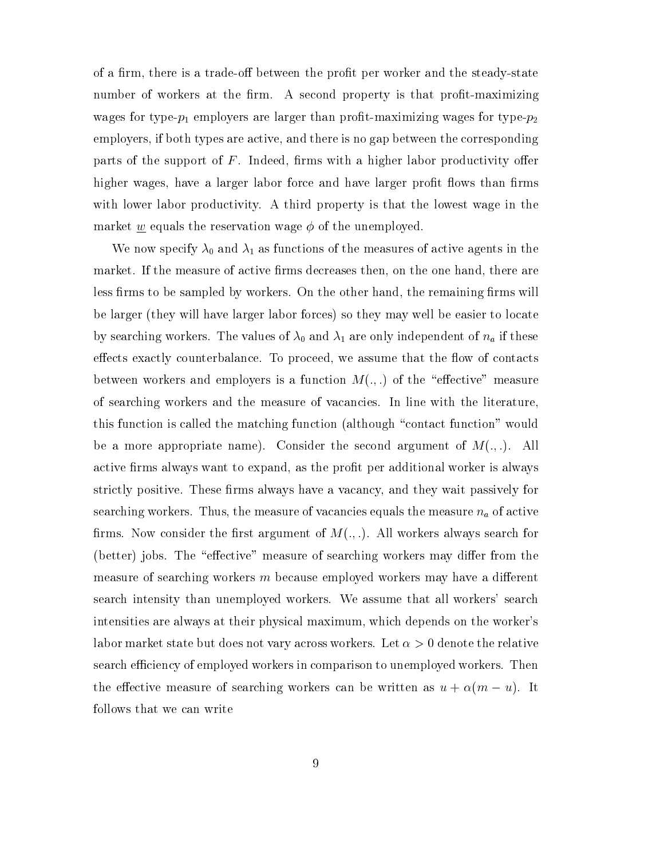of a firm, there is a trade-off between the profit per worker and the steady-state number of workers at the firm. A second property is that profit-maximizing wages for type- $p_1$  employers are larger than profit-maximizing wages for type- $p_2$ employers, if both types are active, and there is no gap between the corresponding parts of the support of  $F$ . Indeed, firms with a higher labor productivity offer higher wages, have a larger labor force and have larger profit flows than firms with lower labor productivity. A third property is that the lowest wage in the market  $\underline{w}$  equals the reservation wage  $\phi$  of the unemployed.

We now specify  $\lambda_0$  and  $\lambda_1$  as functions of the measures of active agents in the market. If the measure of active firms decreases then, on the one hand, there are less firms to be sampled by workers. On the other hand, the remaining firms will be larger (they will have larger labor forces) so they may well be easier to locate by searching workers. The values of  $\lambda_0$  and  $\lambda_1$  are only independent of  $n_a$  if these effects exactly counterbalance. To proceed, we assume that the flow of contacts between workers and employers is a function  $M(.)$  of the "effective" measure of searching workers and the measure of vacancies. In line with the literature, this function is called the matching function (although "contact function" would be a more appropriate name). Consider the second argument of  $M(.,.)$ . All active firms always want to expand, as the profit per additional worker is always strictly positive. These firms always have a vacancy, and they wait passively for searching workers. Thus, the measure of vacancies equals the measure  $n_a$  of active firms. Now consider the first argument of  $M(.,.)$ . All workers always search for (better) jobs. The "effective" measure of searching workers may differ from the measure of searching workers  $m$  because employed workers may have a different search intensity than unemployed workers. We assume that all workers' search intensities are always at their physical maximum, which depends on the worker's labor market state but does not vary across workers. Let  $\alpha > 0$  denote the relative search efficiency of employed workers in comparison to unemployed workers. Then the effective measure of searching workers can be written as  $u + \alpha(m - u)$ . It follows that we can write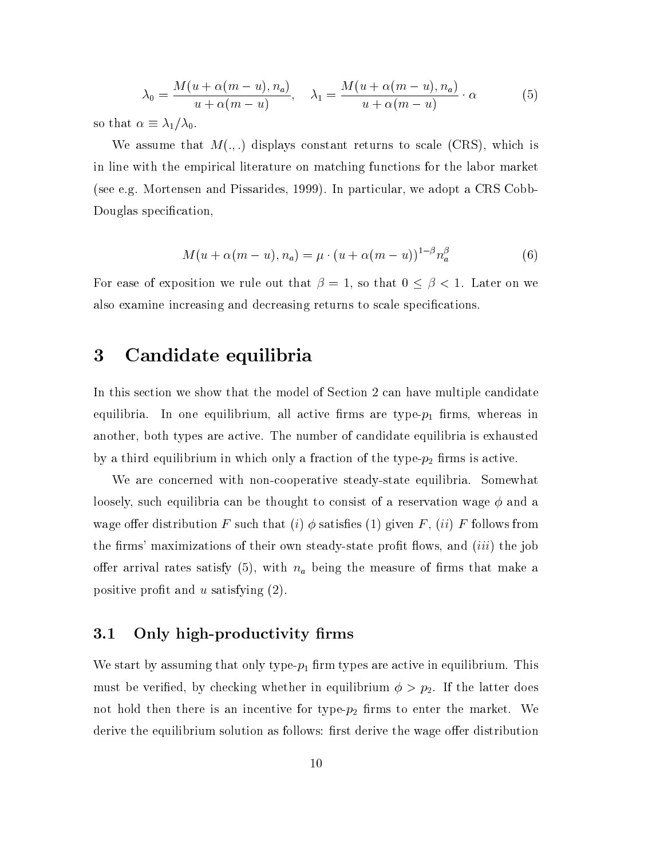$$
\lambda_0 = \frac{M(u + \alpha(m - u), n_a)}{u + \alpha(m - u)}, \quad \lambda_1 = \frac{M(u + \alpha(m - u), n_a)}{u + \alpha(m - u)} \cdot \alpha \tag{5}
$$

so that  $\alpha \equiv \lambda_1/\lambda_0$ .

We assume that  $M(.,.)$  displays constant returns to scale (CRS), which is in line with the empirical literature on matching functions for the labor market (see e.g. Mortensen and Pissarides, 1999). In particular, we adopt a CRS Cobb-Douglas specification,

$$
M(u + \alpha(m - u), n_a) = \mu \cdot (u + \alpha(m - u))^{1-\beta} n_a^{\beta} \tag{6}
$$

For ease of exposition we rule out that  $\beta = 1$ , so that  $0 \leq \beta < 1$ . Later on we also examine increasing and decreasing returns to scale specications.

## 3 Candidate equilibria

In this section we show that the model of Section 2 can have multiple candidate equilibria. In one equilibrium, all active firms are type- $p_1$  firms, whereas in another, both types are active. The number of candidate equilibria is exhausted by a third equilibrium in which only a fraction of the type- $p_2$  firms is active.

We are concerned with non-cooperative steady-state equilibria. Somewhat loosely, such equilibria can be thought to consist of a reservation wage  $\phi$  and a wage offer distribution F such that (i)  $\phi$  satisfies (1) given F, (ii) F follows from the firms' maximizations of their own steady-state profit flows, and  $(iii)$  the job offer arrival rates satisfy (5), with  $n_a$  being the measure of firms that make a positive profit and  $u$  satisfying  $(2)$ .

### 3.1 Only high-productivity firms

We start by assuming that only type- $p_1$  firm types are active in equilibrium. This must be verified, by checking whether in equilibrium  $\phi > p_2$ . If the latter does not hold then there is an incentive for type- $p_2$  firms to enter the market. We derive the equilibrium solution as follows: first derive the wage offer distribution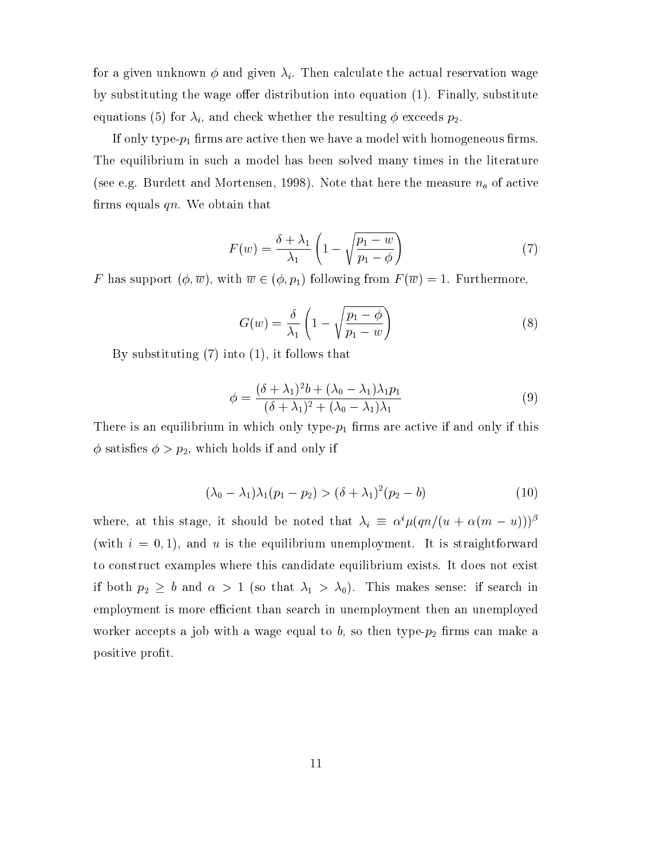for a given unknown  $\phi$  and given  $\lambda_i$ . Then calculate the actual reservation wage by substituting the wage offer distribution into equation  $(1)$ . Finally, substitute equations (5) for  $\lambda_i$ , and check whether the resulting  $\phi$  exceeds  $p_2$ .

If only type- $p_1$  firms are active then we have a model with homogeneous firms. The equilibrium in such a model has been solved many times in the literature (see e.g. Burdett and Mortensen, 1998). Note that here the measure  $n_a$  of active firms equals  $qn$ . We obtain that

$$
F(w) = \frac{\delta + \lambda_1}{\lambda_1} \left( 1 - \sqrt{\frac{p_1 - w}{p_1 - \phi}} \right) \tag{7}
$$

F has support  $(\phi, \overline{w})$ , with  $\overline{w} \in (\phi, p_1)$  following from  $F(\overline{w}) = 1$ . Furthermore,

$$
G(w) = \frac{\delta}{\lambda_1} \left( 1 - \sqrt{\frac{p_1 - \phi}{p_1 - w}} \right) \tag{8}
$$

By substituting (7) into (1), it follows that

$$
\phi = \frac{(\delta + \lambda_1)^2 b + (\lambda_0 - \lambda_1)\lambda_1 p_1}{(\delta + \lambda_1)^2 + (\lambda_0 - \lambda_1)\lambda_1} \tag{9}
$$

There is an equilibrium in which only type- $p_1$  firms are active if and only if this  $\phi$  satisfies  $\phi > p_2$ , which holds if and only if

$$
(\lambda_0 - \lambda_1)\lambda_1(p_1 - p_2) > (\delta + \lambda_1)^2(p_2 - b) \tag{10}
$$

where, at this stage, it should be noted that  $\lambda_i \equiv \alpha^i \mu (qn/(u + \alpha(m - u)))^{\beta}$ (with  $i = 0, 1$ ), and u is the equilibrium unemployment. It is straightforward to construct examples where this candidate equilibrium exists. It does not exist if both  $p_2 \geq b$  and  $\alpha > 1$  (so that  $\lambda_1 > \lambda_0$ ). This makes sense: if search in employment is more efficient than search in unemployment then an unemployed worker accepts a job with a wage equal to  $b$ , so then type- $p_2$  firms can make a positive profit.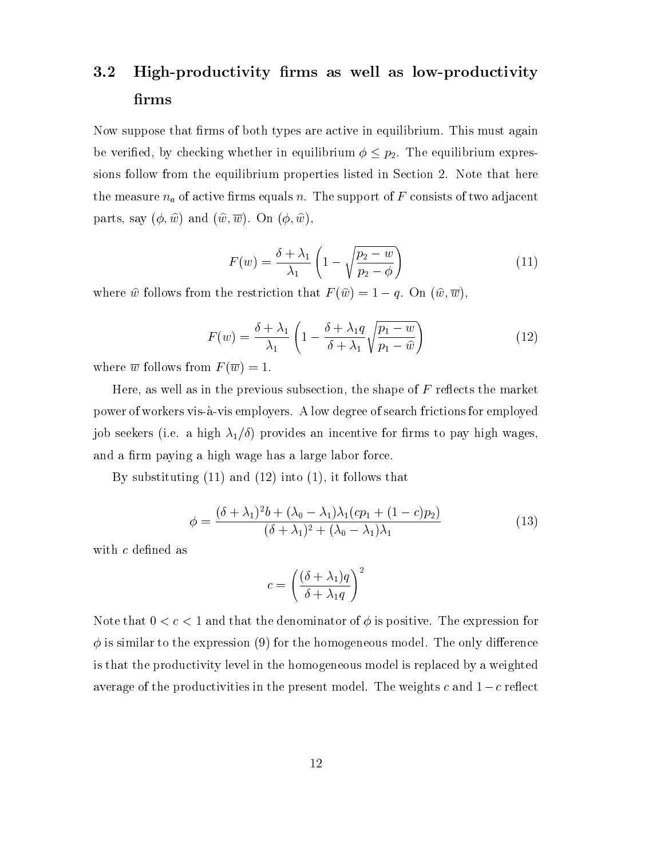# 3.2 High-productivity firms as well as low-productivity firms

Now suppose that firms of both types are active in equilibrium. This must again be verified, by checking whether in equilibrium  $\phi \leq p_2$ . The equilibrium expressions follow from the equilibrium properties listed in Section 2. Note that here the measure  $n_a$  of active firms equals n. The support of F consists of two adjacent parts, say  $(\phi, \hat{w})$  and  $(\hat{w}, \overline{w})$ . On  $(\phi, \hat{w})$ ,

$$
F(w) = \frac{\delta + \lambda_1}{\lambda_1} \left( 1 - \sqrt{\frac{p_2 - w}{p_2 - \phi}} \right)
$$
 (11)

where  $\hat{w}$  follows from the restriction that  $F(\hat{w})=1-q$ . On  $(\hat{w}, \overline{w})$ ,

$$
F(w) = \frac{\delta + \lambda_1}{\lambda_1} \left( 1 - \frac{\delta + \lambda_1 q}{\delta + \lambda_1} \sqrt{\frac{p_1 - w}{p_1 - \hat{w}}} \right)
$$
(12)

where  $\overline{w}$  follows from  $F(\overline{w}) = 1$ .

Here, as well as in the previous subsection, the shape of  $F$  reflects the market power of workers vis-a-vis employers. A low degree of search frictions for employed job seekers (i.e. a high  $\lambda_1/\delta$ ) provides an incentive for firms to pay high wages, and a firm paying a high wage has a large labor force.

By substituting (11) and (12) into (1), it follows that

$$
\phi = \frac{(\delta + \lambda_1)^2 b + (\lambda_0 - \lambda_1) \lambda_1 (c p_1 + (1 - c) p_2)}{(\delta + \lambda_1)^2 + (\lambda_0 - \lambda_1) \lambda_1} \tag{13}
$$

with  $c$  defined as

$$
c = \left(\frac{(\delta + \lambda_1)q}{\delta + \lambda_1 q}\right)^2
$$

Note that  $0 < c < 1$  and that the denominator of  $\phi$  is positive. The expression for  $\phi$  is similar to the expression (9) for the homogeneous model. The only difference is that the productivity level in the homogeneous model is replaced byaweighted average of the productivities in the present model. The weights  $c$  and  $1-c$  reflect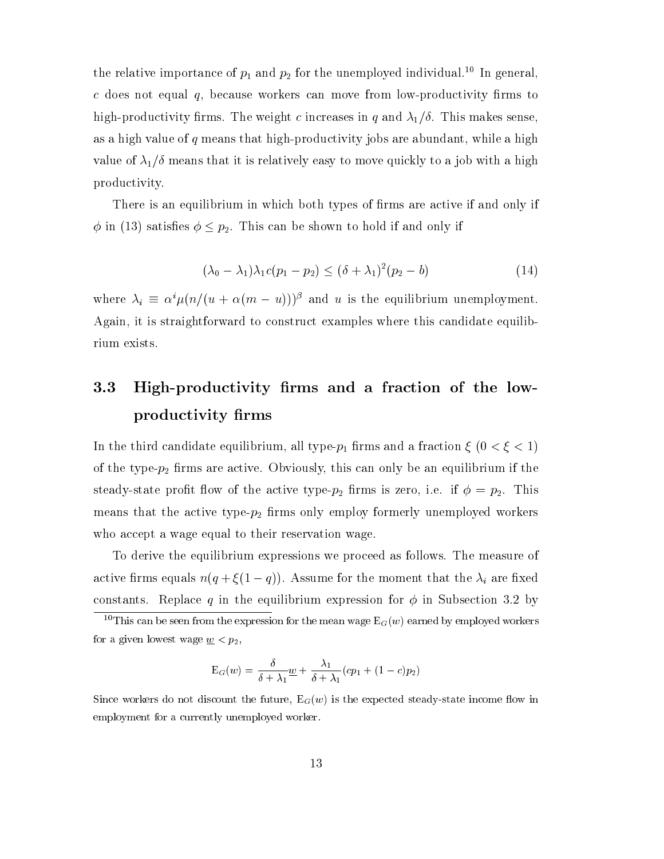the relative importance of  $p_1$  and  $p_2$  for the unemployed individual.<sup>10</sup> In general,  $c$  does not equal  $q$ , because workers can move from low-productivity firms to high-productivity firms. The weight c increases in q and  $\lambda_1/\delta$ . This makes sense, as a high value of  $q$  means that high-productivity jobs are abundant, while a high value of  $\lambda_1/\delta$  means that it is relatively easy to move quickly to a job with a high productivity.

There is an equilibrium in which both types of firms are active if and only if  $\phi$  in (13) satisfies  $\phi \leq p_2$ . This can be shown to hold if and only if

$$
(\lambda_0 - \lambda_1)\lambda_1 c(p_1 - p_2) \le (\delta + \lambda_1)^2 (p_2 - b) \tag{14}
$$

where  $\lambda_i \equiv \alpha^i \mu (n/(u + \alpha(m - u)))^{\beta}$  and u is the equilibrium unemployment. Again, it is straightforward to construct examples where this candidate equilibrium exists.

# 3.3 High-productivity firms and a fraction of the lowproductivity firms

In the third candidate equilibrium, all type- $p_1$  firms and a fraction  $\xi$  (0 <  $\xi$  < 1) of the type- $p_2$  firms are active. Obviously, this can only be an equilibrium if the steady-state profit flow of the active type- $p_2$  firms is zero, i.e. if  $\phi = p_2$ . This means that the active type- $p_2$  firms only employ formerly unemployed workers who accept a wage equal to their reservation wage.

To derive the equilibrium expressions we proceed as follows. The measure of active firms equals  $n(q + \xi(1 - q))$ . Assume for the moment that the  $\lambda_i$  are fixed constants. Replace q in the equilibrium expression for  $\phi$  in Subsection 3.2 by

$$
E_G(w) = \frac{\delta}{\delta + \lambda_1} \underline{w} + \frac{\lambda_1}{\delta + \lambda_1} (cp_1 + (1-c)p_2)
$$

Since workers do not discount the future,  $E_G(w)$  is the expected steady-state income flow in employment for a currently unemployed worker.

<sup>&</sup>lt;sup>10</sup>This can be seen from the expression for the mean wage  $E_G(w)$  earned by employed workers for a given lowest wage  $\underline{w} < p_2$ ,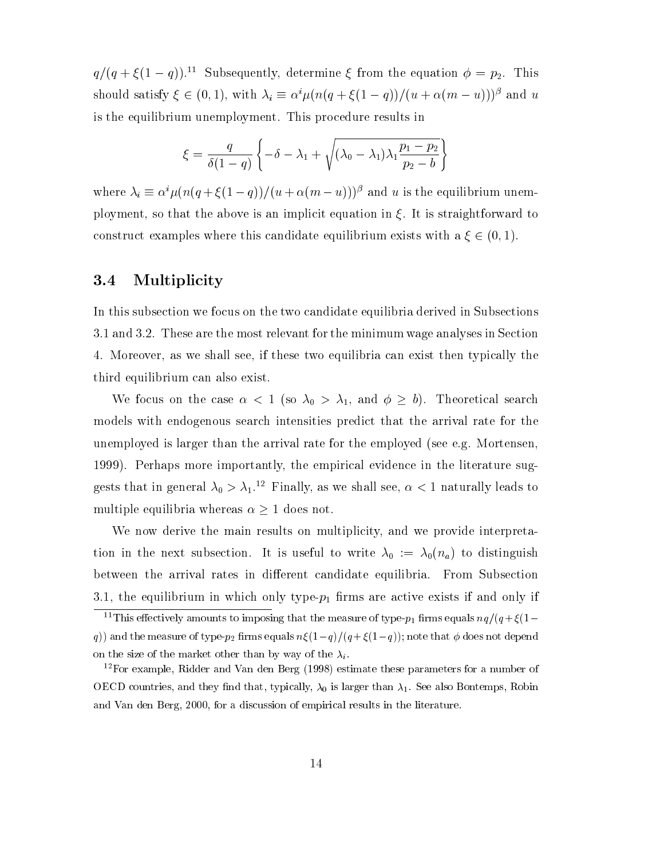$q/(q + \xi(1 - q))$ .<sup>11</sup> Subsequently, determine  $\xi$  from the equation  $\phi = p_2$ . This should satisfy  $\xi \in (0, 1)$ , with  $\lambda_i \equiv \alpha^i \mu (n(q + \xi(1 - q))/(u + \alpha(m - u)))^{\beta}$  and u is the equilibrium unemployment. This procedure results in

$$
\xi = \frac{q}{\delta(1-q)} \left\{ -\delta - \lambda_1 + \sqrt{(\lambda_0 - \lambda_1)\lambda_1 \frac{p_1 - p_2}{p_2 - b}} \right\}
$$

where  $\lambda_i \equiv \alpha^i \mu (n(q + \xi(1 - q))/(u + \alpha(m - u)))^\beta$  and u is the equilibrium unemployment, so that the above is an implicit equation in  $\xi$ . It is straightforward to construct examples where this candidate equilibrium exists with a  $\xi \in (0,1)$ .

### 3.4 Multiplicity

In this subsection we focus on the two candidate equilibria derived in Subsections 3.1 and 3.2. These are the most relevant for the minimum wage analyses in Section 4. Moreover, as we shall see, if these two equilibria can exist then typically the third equilibrium can also exist.

We focus on the case  $\alpha < 1$  (so  $\lambda_0 > \lambda_1$ , and  $\phi \geq b$ ). Theoretical search models with endogenous search intensities predict that the arrival rate for the unemployed is larger than the arrival rate for the employed (see e.g. Mortensen, 1999). Perhaps more importantly, the empirical evidence in the literature suggests that in general  $\lambda_0 > \lambda_1$ .<sup>12</sup> Finally, as we shall see,  $\alpha < 1$  naturally leads to multiple equilibria whereas  $\alpha \geq 1$  does not.

We now derive the main results on multiplicity, and we provide interpretation in the next subsection. It is useful to write  $\lambda_0 := \lambda_0(n_a)$  to distinguish between the arrival rates in different candidate equilibria. From Subsection 3.1, the equilibrium in which only type- $p_1$  firms are active exists if and only if

<sup>&</sup>lt;sup>11</sup>This effectively amounts to imposing that the measure of type- $p_1$  firms equals  $nq/(q + \xi(1$ q)) and the measure of type- $p_2$  firms equals  $n\xi(1-q)/(q+\xi(1-q))$ ; note that  $\phi$  does not depend on the size of the market other than by way of the  $\lambda_i$ .

<sup>12</sup>For example, Ridder and Van den Berg (1998) estimate these parameters for a number of OECD countries, and they find that, typically,  $\lambda_0$  is larger than  $\lambda_1$ . See also Bontemps, Robin and Van den Berg, 2000, for a discussion of empirical results in the literature.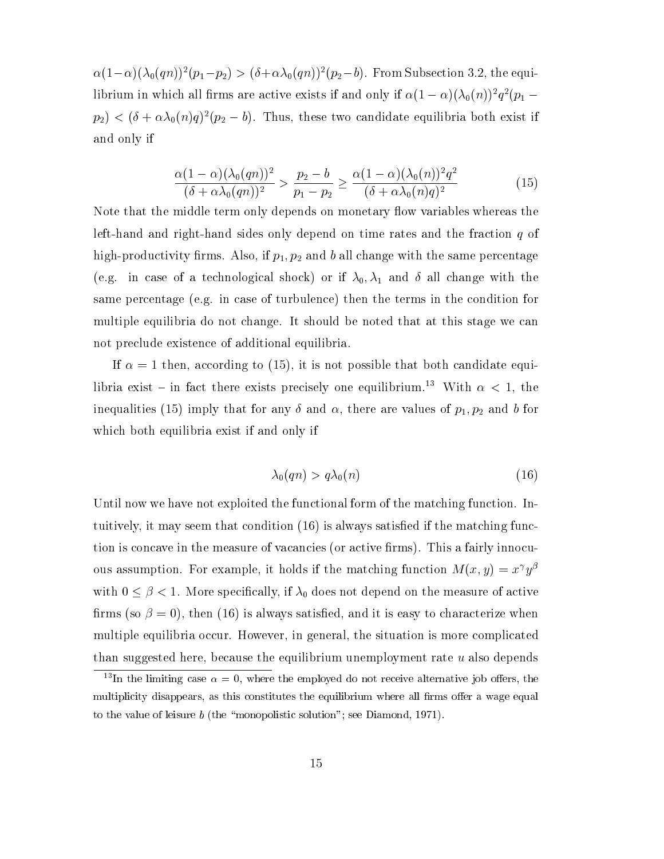$\alpha(1-\alpha)(\lambda_0(qn))^2(p_1-p_2) > (\delta+\alpha\lambda_0(qn))^2(p_2-b)$ . From Subsection 3.2, the equiif briting in which all firms are active exists if and only if  $\alpha(1-\alpha)(\lambda_0(n))$   $q$  ( $p_1$   $$  $p_2$ )  $\lt$  ( $\sigma + \alpha \lambda_0(n)q$ ) ( $p_2 - \sigma$ ). Thus, these two candidate equilibria both exist if and only if

$$
\frac{\alpha(1-\alpha)(\lambda_0(qn))^2}{(\delta+\alpha\lambda_0(qn))^2} > \frac{p_2-b}{p_1-p_2} \ge \frac{\alpha(1-\alpha)(\lambda_0(n))^2q^2}{(\delta+\alpha\lambda_0(n)q)^2}
$$
(15)

Note that the middle term only depends on monetary flow variables whereas the left-hand and right-hand sides only depend on time rates and the fraction  $q$  of high-productivity firms. Also, if  $p_1, p_2$  and b all change with the same percentage (e.g. in case of a technological shock) or if  $\lambda_0$ ,  $\lambda_1$  and  $\delta$  all change with the same percentage (e.g. in case of turbulence) then the terms in the condition for multiple equilibria do not change. It should be noted that at this stage we can not preclude existence of additional equilibria.

If  $\alpha = 1$  then, according to (15), it is not possible that both candidate equilibria exist - in fact there exists precisely one equilibrium.<sup>13</sup> With  $\alpha < 1$ , the inequalities (15) imply that for any  $\delta$  and  $\alpha$ , there are values of  $p_1, p_2$  and b for which both equilibria exist if and only if

$$
\lambda_0(qn) > q\lambda_0(n) \tag{16}
$$

Until now we have not exploited the functional form of the matching function. Intuitively, it may seem that condition  $(16)$  is always satisfied if the matching function is concave in the measure of vacancies (or active firms). This a fairly innocuous assumption. For example, it holds if the matching function  $M(x, y) = x^{\gamma}y^{\beta}$ with  $0 \leq \beta < 1$ . More specifically, if  $\lambda_0$  does not depend on the measure of active firms (so  $\beta = 0$ ), then (16) is always satisfied, and it is easy to characterize when multiple equilibria occur. However, in general, the situation is more complicated than suggested here, because the equilibrium unemployment rate  $u$  also depends

<sup>&</sup>lt;sup>13</sup>In the limiting case  $\alpha = 0$ , where the employed do not receive alternative job offers, the multiplicity disappears, as this constitutes the equilibrium where all firms offer a wage equal to the value of leisure  $b$  (the "monopolistic solution"; see Diamond, 1971).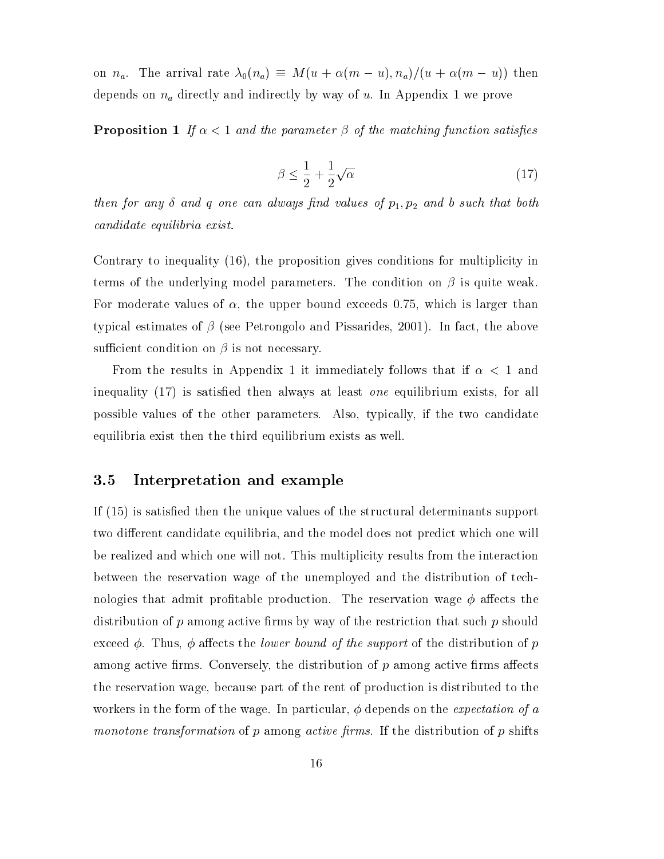on  $n_a$ . The arrival rate  $\lambda_0(n_a) \equiv M(u + \alpha(m - u), n_a)/(u + \alpha(m - u))$  then depends on  $n_a$  directly and indirectly by way of u. In Appendix 1 we prove

**Proposition 1** If  $\alpha < 1$  and the parameter  $\beta$  of the matching function satisfies

$$
\beta \le \frac{1}{2} + \frac{1}{2}\sqrt{\alpha} \tag{17}
$$

then for any  $\delta$  and  $q$  one can always find values of  $p_1, p_2$  and  $b$  such that both candidate equilibria exist.

Contrary to inequality (16), the proposition gives conditions for multiplicity in terms of the underlying model parameters. The condition on  $\beta$  is quite weak. For moderate values of  $\alpha$ , the upper bound exceeds 0.75, which is larger than typical estimates of  $\beta$  (see Petrongolo and Pissarides, 2001). In fact, the above sufficient condition on  $\beta$  is not necessary.

From the results in Appendix 1 it immediately follows that if  $\alpha < 1$  and inequality  $(17)$  is satisfied then always at least *one* equilibrium exists, for all possible values of the other parameters. Also, typically, if the two candidate equilibria exist then the third equilibrium exists as well.

### 3.5 Interpretation and example

If (15) is satised then the unique values of the structural determinants support two different candidate equilibria, and the model does not predict which one will be realized and which one will not. This multiplicity results from the interaction between the reservation wage of the unemployed and the distribution of technologies that admit profitable production. The reservation wage  $\phi$  affects the distribution of p among active firms by way of the restriction that such p should exceed  $\phi$ . Thus,  $\phi$  affects the *lower bound of the support* of the distribution of p among active firms. Conversely, the distribution of  $p$  among active firms affects the reservation wage, because part of the rent of production is distributed to the workers in the form of the wage. In particular,  $\phi$  depends on the *expectation of a* monotone transformation of  $p$  among active firms. If the distribution of  $p$  shifts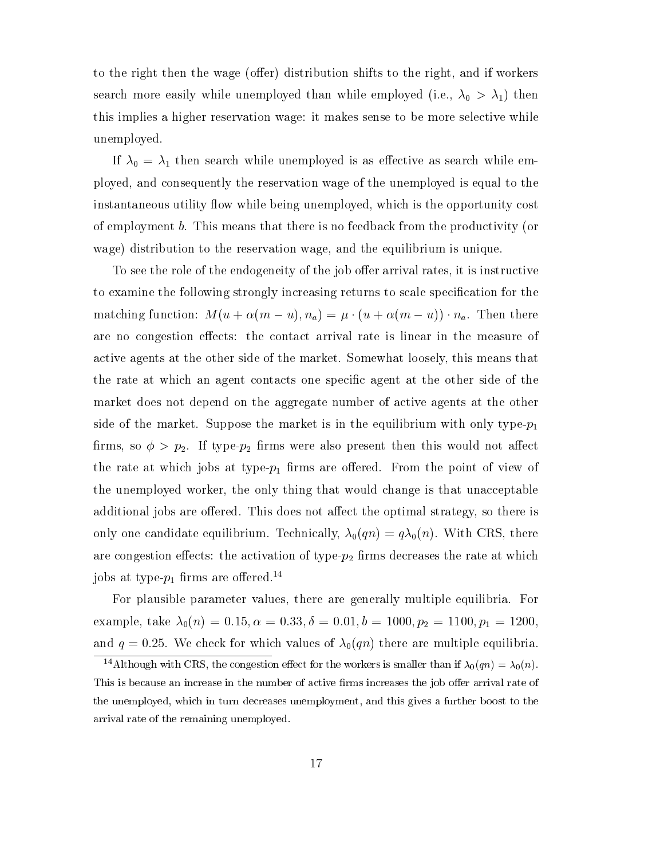to the right then the wage (offer) distribution shifts to the right, and if workers search more easily while unemployed than while employed (i.e.,  $\lambda_0 > \lambda_1$ ) then this implies a higher reservation wage: it makes sense to be more selective while unemployed.

If  $\lambda_0 = \lambda_1$  then search while unemployed is as effective as search while employed, and consequently the reservation wage of the unemployed is equal to the instantaneous utility flow while being unemployed, which is the opportunity cost of employment b. This means that there is no feedback from the productivity (or wage) distribution to the reservation wage, and the equilibrium is unique.

To see the role of the endogeneity of the job offer arrival rates, it is instructive to examine the following strongly increasing returns to scale specification for the matching function:  $M(u + \alpha(m - u), n_a) = \mu \cdot (u + \alpha(m - u)) \cdot n_a$ . Then there are no congestion effects: the contact arrival rate is linear in the measure of active agents at the other side of the market. Somewhat loosely, this means that the rate at which an agent contacts one specic agent at the other side of the market does not depend on the aggregate number of active agents at the other side of the market. Suppose the market is in the equilibrium with only type- $p_1$ firms, so  $\phi > p_2$ . If type- $p_2$  firms were also present then this would not affect the rate at which jobs at type- $p_1$  firms are offered. From the point of view of the unemployed worker, the only thing that would change is that unacceptable additional jobs are offered. This does not affect the optimal strategy, so there is only one candidate equilibrium. Technically,  $\lambda_0(qn) = q\lambda_0(n)$ . With CRS, there are congestion effects: the activation of type- $p_2$  firms decreases the rate at which jobs at type- $p_1$  firms are offered.<sup>14</sup>

For plausible parameter values, there are generally multiple equilibria. For example, take  $\lambda_0(n) = 0.15, \alpha = 0.33, \delta = 0.01, b = 1000, p_2 = 1100, p_1 = 1200$ and  $q = 0.25$ . We check for which values of  $\lambda_0(qn)$  there are multiple equilibria.

<sup>&</sup>lt;sup>14</sup>Although with CRS, the congestion effect for the workers is smaller than if  $\lambda_0(qn) = \lambda_0(n)$ . This is because an increase in the number of active firms increases the job offer arrival rate of the unemployed, which in turn decreases unemployment, and this gives a further boost to the arrival rate of the remaining unemployed.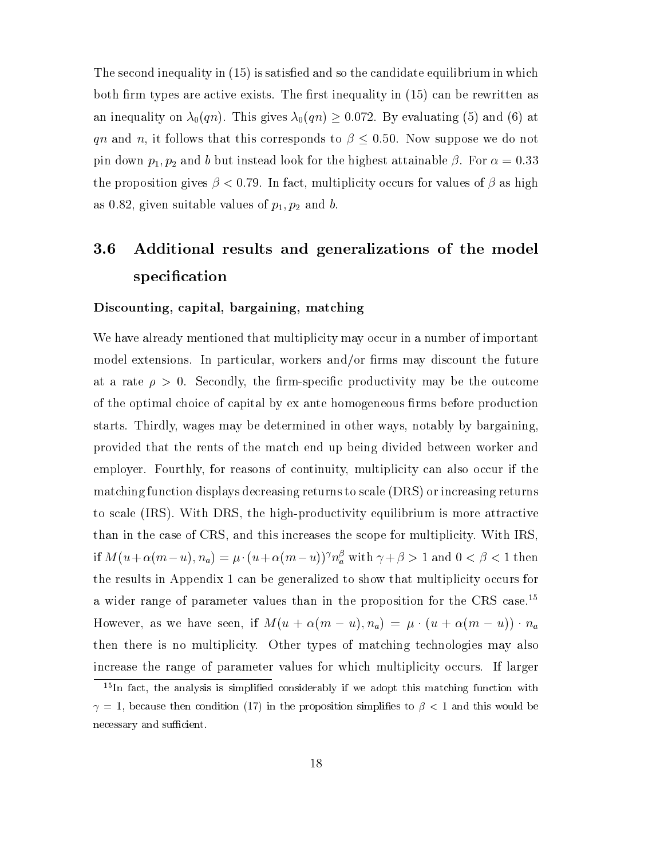The second inequality in (15) is satisfied and so the candidate equilibrium in which both firm types are active exists. The first inequality in  $(15)$  can be rewritten as an inequality on  $\lambda_0(qn)$ . This gives  $\lambda_0(qn) \geq 0.072$ . By evaluating (5) and (6) at qn and n, it follows that this corresponds to  $\beta \leq 0.50$ . Now suppose we do not pin down  $p_1, p_2$  and b but instead look for the highest attainable  $\beta$ . For  $\alpha = 0.33$ the proposition gives  $\beta < 0.79$ . In fact, multiplicity occurs for values of  $\beta$  as high as 0.82, given suitable values of  $p_1, p_2$  and b.

# 3.6 Additional results and generalizations of the model specification

#### Discounting, capital, bargaining, matching

We have already mentioned that multiplicity may occur in a number of important model extensions. In particular, workers and/or firms may discount the future at a rate  $\rho > 0$ . Secondly, the firm-specific productivity may be the outcome of the optimal choice of capital by ex ante homogeneous firms before production starts. Thirdly, wages may be determined in other ways, notably by bargaining, provided that the rents of the match end up being divided between worker and employer. Fourthly, for reasons of continuity, multiplicity can also occur if the matching function displays decreasing returns to scale (DRS) or increasing returns to scale (IRS). With DRS, the high-productivity equilibrium is more attractive than in the case of CRS, and this increases the scope for multiplicity. With IRS, if  $M(u+\alpha(m-u), n_a) = \mu \cdot (u+\alpha(m-u))$   $n_a$  with  $\gamma + \beta > 1$  and  $0 < \beta < 1$  then the results in Appendix 1 can be generalized to show that multiplicity occurs for a wider range of parameter values than in the proposition for the CRS case.<sup>15</sup> However, as we have seen, if  $M(u + \alpha(m - u), n_a) = \mu \cdot (u + \alpha(m - u)) \cdot n_a$ then there is no multiplicity. Other types of matching technologies may also increase the range of parameter values for which multiplicity occurs. If larger

 $15$ In fact, the analysis is simplified considerably if we adopt this matching function with  $\gamma = 1$ , because then condition (17) in the proposition simplifies to  $\beta < 1$  and this would be necessary and sufficient.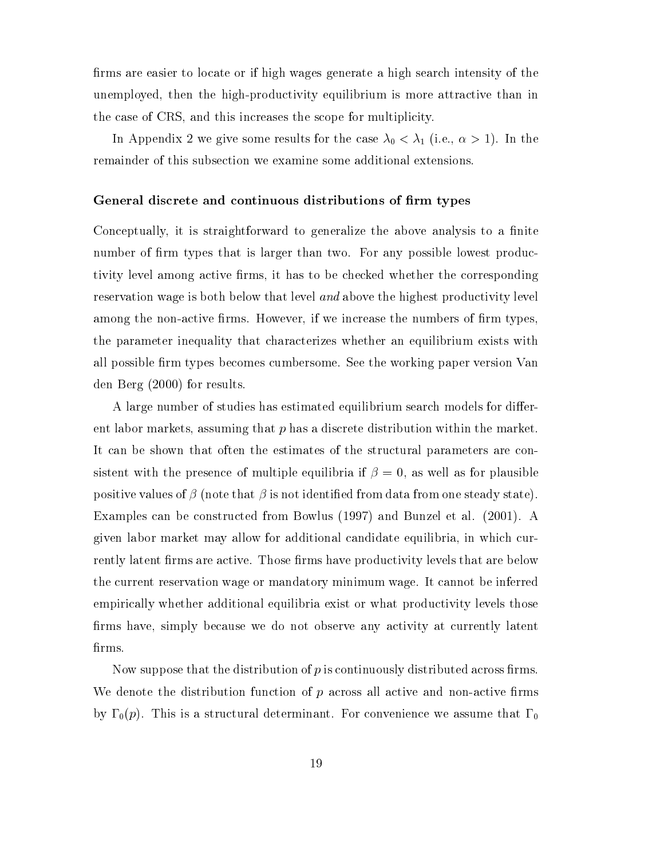firms are easier to locate or if high wages generate a high search intensity of the unemployed, then the high-productivity equilibrium is more attractive than in the case of CRS, and this increases the scope for multiplicity.

In Appendix 2 we give some results for the case  $\lambda_0 < \lambda_1$  (i.e.,  $\alpha > 1$ ). In the remainder of this subsection we examine some additional extensions.

#### General discrete and continuous distributions of firm types

Conceptually, it is straightforward to generalize the above analysis to a finite number of firm types that is larger than two. For any possible lowest productivity level among active firms, it has to be checked whether the corresponding reservation wage is both below that level and above the highest productivity level among the non-active firms. However, if we increase the numbers of firm types, the parameter inequality that characterizes whether an equilibrium exists with all possible firm types becomes cumbersome. See the working paper version Van den Berg (2000) for results.

A large number of studies has estimated equilibrium search models for different labor markets, assuming that  $p$  has a discrete distribution within the market. It can be shown that often the estimates of the structural parameters are consistent with the presence of multiple equilibria if  $\beta = 0$ , as well as for plausible positive values of  $\beta$  (note that  $\beta$  is not identified from data from one steady state). Examples can be constructed from Bowlus (1997) and Bunzel et al. (2001). A given labor market may allow for additional candidate equilibria, in which currently latent firms are active. Those firms have productivity levels that are below the current reservation wage or mandatory minimum wage. It cannot be inferred empirically whether additional equilibria exist or what productivity levels those firms have, simply because we do not observe any activity at currently latent firms.

Now suppose that the distribution of p is continuously distributed across firms. We denote the distribution function of  $p$  across all active and non-active firms by  $\Gamma_0(p)$ . This is a structural determinant. For convenience we assume that  $\Gamma_0$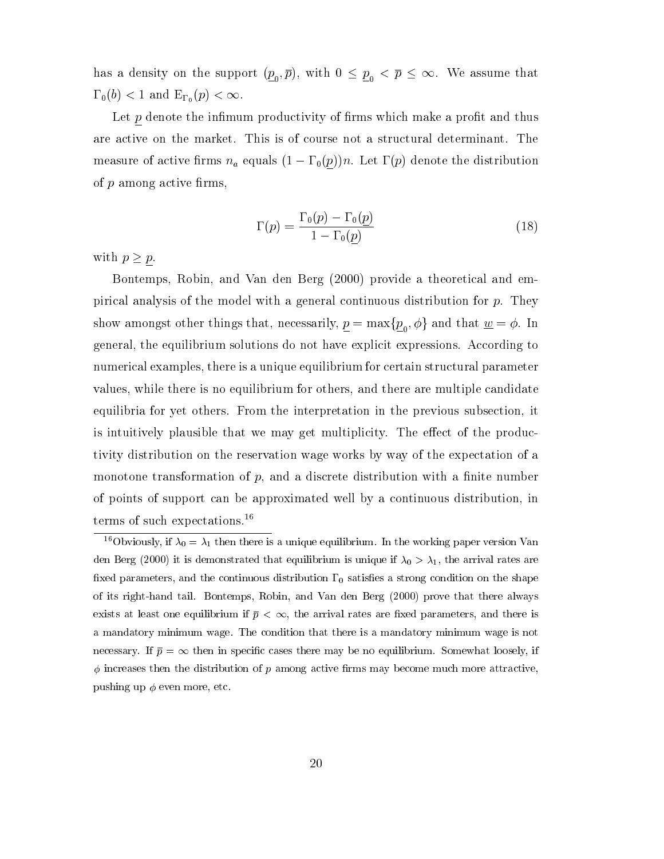has a density on the support  $(\underline{p}_0,\overline{p}),$  with  $0\,\leq\,\underline{p}_0\,<\,\overline{p}\,\leq\,\infty.$  We assume that  $\Gamma_0(b) < 1$  and  $E_{\Gamma_0}(p) < \infty$ .

Let  $p$  denote the infimum productivity of firms which make a profit and thus are active on the market. This is of course not a structural determinant. The measure of active firms  $n_a$  equals  $(1 - \Gamma_0(p))n$ . Let  $\Gamma(p)$  denote the distribution of  $p$  among active firms,

$$
\Gamma(p) = \frac{\Gamma_0(p) - \Gamma_0(\underline{p})}{1 - \Gamma_0(\underline{p})}
$$
\n(18)

with  $p \geq p$ .

Bontemps, Robin, and Van den Berg (2000) provide a theoretical and empirical analysis of the model with a general continuous distribution for  $p$ . They show amongst other things that, necessarily,  $p = \max\{p_{0}, \phi\}$  and that  $\underline{w} = \phi$ . In <sup>0</sup> general, the equilibrium solutions do not have explicit expressions. According to numerical examples, there is a unique equilibrium for certain structural parameter values, while there is no equilibrium for others, and there are multiple candidate equilibria for yet others. From the interpretation in the previous subsection, it is intuitively plausible that we may get multiplicity. The effect of the productivity distribution on the reservation wage works by way of the expectation of a monotone transformation of  $p$ , and a discrete distribution with a finite number of points of support can be approximated well by a continuous distribution, in terms of such expectations.16

<sup>&</sup>lt;sup>16</sup>Obviously, if  $\lambda_0 = \lambda_1$  then there is a unique equilibrium. In the working paper version Van den Berg (2000) it is demonstrated that equilibrium is unique if  $\lambda_0 > \lambda_1$ , the arrival rates are fixed parameters, and the continuous distribution  $\Gamma_0$  satisfies a strong condition on the shape of its right-hand tail. Bontemps, Robin, and Van den Berg (2000) prove that there always exists at least one equilibrium if  $\bar{p} < \infty$ , the arrival rates are fixed parameters, and there is a mandatory minimum wage. The condition that there is a mandatory minimum wage is not necessary. If  $\bar{p} = \infty$  then in specific cases there may be no equilibrium. Somewhat loosely, if  $\phi$  increases then the distribution of p among active firms may become much more attractive, pushing up  $\phi$  even more, etc.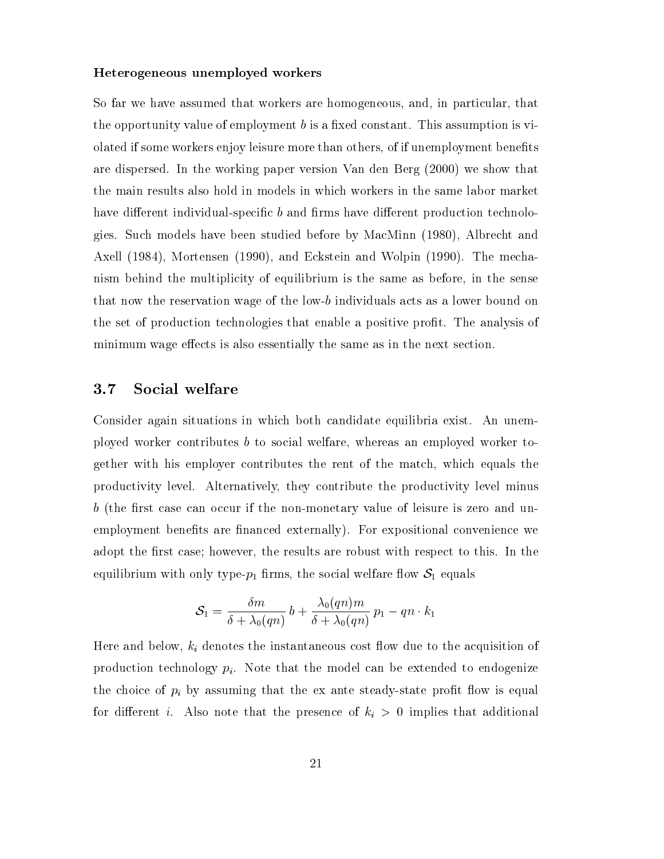#### Heterogeneous unemployed workers

So far we have assumed that workers are homogeneous, and, in particular, that the opportunity value of employment  $b$  is a fixed constant. This assumption is violated if some workers enjoy leisure more than others, of if unemployment benets are dispersed. In the working paper version Van den Berg (2000) we show that the main results also hold in models in which workers in the same labor market have different individual-specific  $b$  and firms have different production technologies. Such models have been studied before by MacMinn (1980), Albrecht and Axell (1984), Mortensen (1990), and Eckstein and Wolpin (1990). The mechanism behind the multiplicity of equilibrium is the same as before, in the sense that now the reservation wage of the low-b individuals acts as a lower bound on the set of production technologies that enable a positive prot. The analysis of minimum wage effects is also essentially the same as in the next section.

### 3.7 Social welfare

Consider again situations in which both candidate equilibria exist. An unemployed worker contributes <sup>b</sup> to social welfare, whereas an employed worker together with his employer contributes the rent of the match, which equals the productivity level. Alternatively, they contribute the productivity level minus  $b$  (the first case can occur if the non-monetary value of leisure is zero and unemployment benefits are financed externally). For expositional convenience we adopt the first case; however, the results are robust with respect to this. In the equilibrium with only type- $p_1$  firms, the social welfare flow  $S_1$  equals

$$
\mathcal{S}_1 = \frac{\delta m}{\delta + \lambda_0(qn)}\,b + \frac{\lambda_0(qn)m}{\delta + \lambda_0(qn)}\,p_1 - qn\cdot k_1
$$

Here and below,  $k_i$  denotes the instantaneous cost flow due to the acquisition of production technology  $p_i$ . Note that the model can be extended to endogenize the choice of  $p_i$  by assuming that the ex ante steady-state profit flow is equal for different *i*. Also note that the presence of  $k<sub>i</sub> > 0$  implies that additional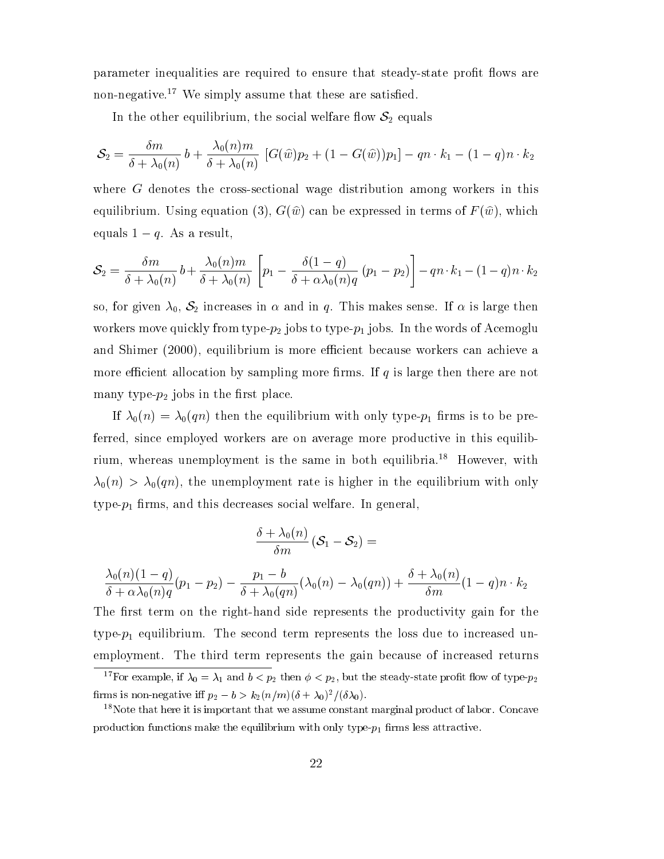parameter inequalities are required to ensure that steady-state profit flows are non-negative.<sup>17</sup> We simply assume that these are satisfied.

In the other equilibrium, the social welfare flow  $S_2$  equals

$$
\mathcal{S}_2 = \frac{\delta m}{\delta + \lambda_0(n)} b + \frac{\lambda_0(n)m}{\delta + \lambda_0(n)} \left[ G(\widehat{w})p_2 + (1-G(\widehat{w}))p_1 \right] - qn \cdot k_1 - (1-q)n \cdot k_2
$$

where G denotes the cross-sectional wage distribution among workers in this equilibrium. Using equation (3),  $G(\hat{w})$  can be expressed in terms of  $F(\hat{w})$ , which equals  $1 - q$ . As a result,

$$
S_2 = \frac{\delta m}{\delta + \lambda_0(n)} b + \frac{\lambda_0(n)m}{\delta + \lambda_0(n)} \left[ p_1 - \frac{\delta(1-q)}{\delta + \alpha \lambda_0(n)q} (p_1 - p_2) \right] - q n \cdot k_1 - (1-q)n \cdot k_2
$$

so, for given  $\lambda_0$ ,  $S_2$  increases in  $\alpha$  and in q. This makes sense. If  $\alpha$  is large then workers move quickly from type- $p_2$  jobs to type- $p_1$  jobs. In the words of Acemoglu and Shimer (2000), equilibrium is more efficient because workers can achieve a more efficient allocation by sampling more firms. If  $q$  is large then there are not many type- $p_2$  jobs in the first place.

If  $\lambda_0(n) = \lambda_0(qn)$  then the equilibrium with only type- $p_1$  firms is to be preferred, since employed workers are on average more productive in this equilibrium, whereas unemployment is the same in both equilibria.<sup>18</sup> However, with  $\lambda_0(n) > \lambda_0(qn)$ , the unemployment rate is higher in the equilibrium with only  $type-p_1$  firms, and this decreases social welfare. In general,

$$
\frac{\delta + \lambda_0(n)}{\delta m} (\mathcal{S}_1 - \mathcal{S}_2) =
$$

$$
\frac{\lambda_0(n)(1-q)}{\delta + \alpha \lambda_0(n)q} (p_1 - p_2) - \frac{p_1 - b}{\delta + \lambda_0(qn)} (\lambda_0(n) - \lambda_0(qn)) + \frac{\delta + \lambda_0(n)}{\delta m} (1-q)n \cdot k_2
$$

The first term on the right-hand side represents the productivity gain for the type- $p_1$  equilibrium. The second term represents the loss due to increased unemployment. The third term represents the gain because of increased returns

<sup>&</sup>lt;sup>17</sup>For example, if  $\lambda_0 = \lambda_1$  and  $b < p_2$  then  $\phi < p_2$ , but the steady-state profit flow of type- $p_2$ firms is non-negative iff  $p_2 - b > k_2(n/m)(\delta + \lambda_0)^2/(\delta \lambda_0)$ .

<sup>&</sup>lt;sup>18</sup>Note that here it is important that we assume constant marginal product of labor. Concave production functions make the equilibrium with only type- $p_1$  firms less attractive.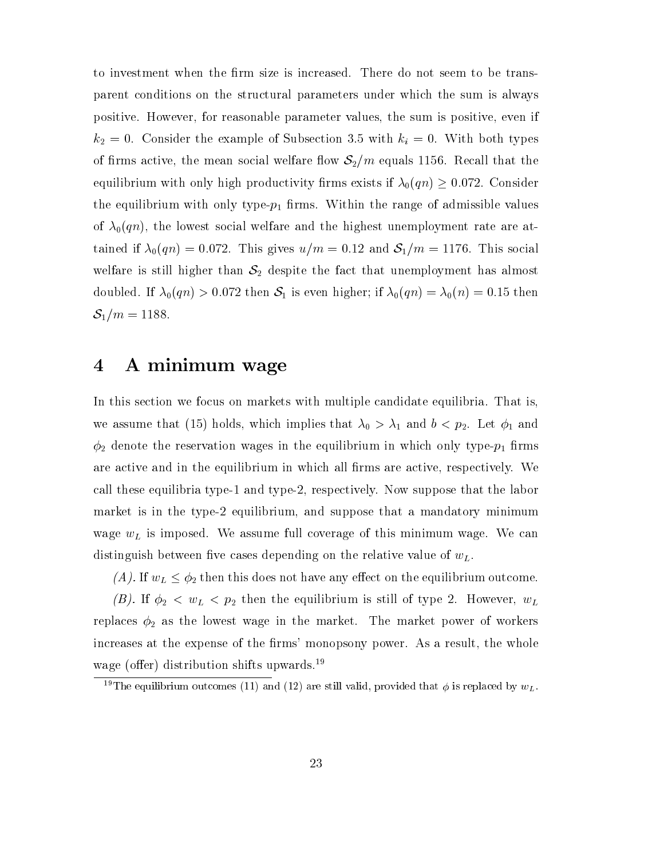to investment when the firm size is increased. There do not seem to be transparent conditions on the structural parameters under which the sum is always positive. However, for reasonable parameter values, the sum is positive, even if  $k_2 = 0$ . Consider the example of Subsection 3.5 with  $k_i = 0$ . With both types of firms active, the mean social welfare flow  $S_2/m$  equals 1156. Recall that the equilibrium with only high productivity firms exists if  $\lambda_0(qn) \geq 0.072$ . Consider the equilibrium with only type- $p_1$  firms. Within the range of admissible values of  $\lambda_0(qn)$ , the lowest social welfare and the highest unemployment rate are attained if  $\lambda_0(qn) = 0.072$ . This gives  $u/m = 0.12$  and  $S_1/m = 1176$ . This social welfare is still higher than  $S_2$  despite the fact that unemployment has almost doubled. If  $\lambda_0(qn) > 0.072$  then  $S_1$  is even higher; if  $\lambda_0(qn) = \lambda_0(n) = 0.15$  then  $S_1/m = 1188.$ 

### 4 A minimum wage

In this section we focus on markets with multiple candidate equilibria. That is, we assume that (15) holds, which implies that  $\lambda_0 > \lambda_1$  and  $b < p_2$ . Let  $\phi_1$  and  $\phi_2$  denote the reservation wages in the equilibrium in which only type- $p_1$  firms are active and in the equilibrium in which all firms are active, respectively. We call these equilibria type-1 and type-2, respectively. Now suppose that the labor market is in the type-2 equilibrium, and suppose that a mandatory minimum wage  $w<sub>L</sub>$  is imposed. We assume full coverage of this minimum wage. We can distinguish between five cases depending on the relative value of  $w<sub>L</sub>$ .

(A). If  $w_L \leq \phi_2$  then this does not have any effect on the equilibrium outcome.

(B). If  $\phi_2 < w_L < p_2$  then the equilibrium is still of type 2. However,  $w_L$ replaces  $\phi_2$  as the lowest wage in the market. The market power of workers increases at the expense of the firms' monopsony power. As a result, the whole wage (offer) distribution shifts upwards.<sup>19</sup>

<sup>&</sup>lt;sup>19</sup>The equilibrium outcomes (11) and (12) are still valid, provided that  $\phi$  is replaced by  $w_L$ .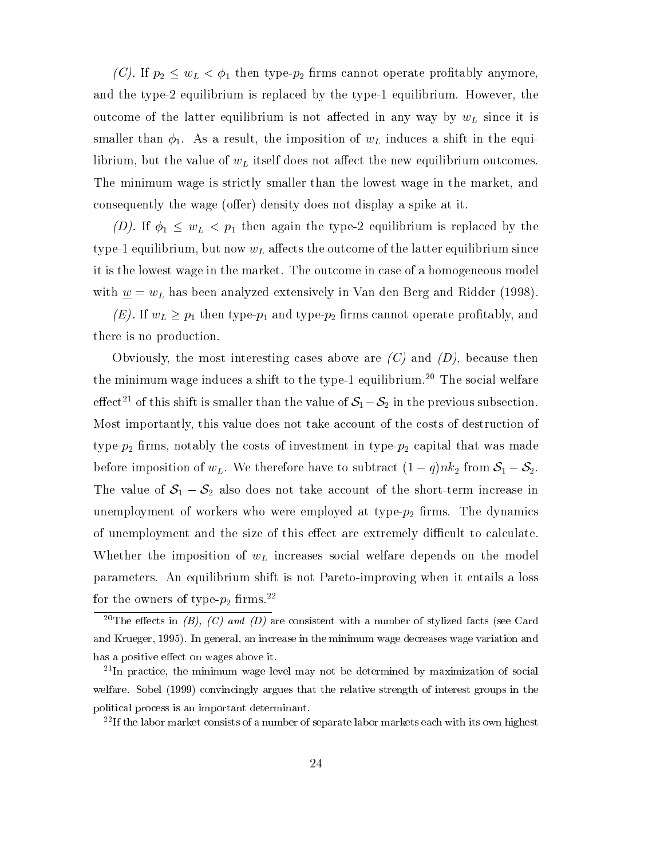(C). If  $p_2 \leq w_L < \phi_1$  then type- $p_2$  firms cannot operate profitably anymore, and the type-2 equilibrium is replaced by the type-1 equilibrium. However, the outcome of the latter equilibrium is not affected in any way by  $w<sub>L</sub>$  since it is smaller than  $\phi_1$ . As a result, the imposition of  $w_L$  induces a shift in the equilibrium, but the value of  $w<sub>L</sub>$  itself does not affect the new equilibrium outcomes. The minimum wage is strictly smaller than the lowest wage in the market, and consequently the wage (offer) density does not display a spike at it.

(D). If  $\phi_1 \leq w_L < p_1$  then again the type-2 equilibrium is replaced by the type-1 equilibrium, but now  $w<sub>L</sub>$  affects the outcome of the latter equilibrium since it is the lowest wage in the market. The outcome in case of a homogeneous model with  $\underline{w} = w_L$  has been analyzed extensively in Van den Berg and Ridder (1998).

(E). If  $w_L \geq p_1$  then type- $p_1$  and type- $p_2$  firms cannot operate profitably, and there is no production.

Obviously, the most interesting cases above are  $(C)$  and  $(D)$ , because then the minimum wage induces a shift to the type-1 equilibrium.<sup>20</sup> The social welfare effect<sup>21</sup> of this shift is smaller than the value of  $S_1 - S_2$  in the previous subsection. Most importantly, this value does not take account of the costs of destruction of type- $p_2$  firms, notably the costs of investment in type- $p_2$  capital that was made before imposition of  $w_L$ . We therefore have to subtract  $(1 - q)nk_2$  from  $S_1 - S_2$ . The value of  $S_1 - S_2$  also does not take account of the short-term increase in unemployment of workers who were employed at type- $p_2$  firms. The dynamics of unemployment and the size of this effect are extremely difficult to calculate. Whether the imposition of  $w<sub>L</sub>$  increases social welfare depends on the model parameters. An equilibrium shift is not Pareto-improving when it entails a loss for the owners of type- $p_2$  firms.<sup>22</sup>

 $22$ If the labor market consists of a number of separate labor markets each with its own highest

<sup>&</sup>lt;sup>20</sup>The effects in (B), (C) and (D) are consistent with a number of stylized facts (see Card and Krueger, 1995). In general, an increase in the minimum wage decreases wage variation and has a positive effect on wages above it.

<sup>&</sup>lt;sup>21</sup>In practice, the minimum wage level may not be determined by maximization of social welfare. Sobel (1999) convincingly argues that the relative strength of interest groups in the political process is an important determinant.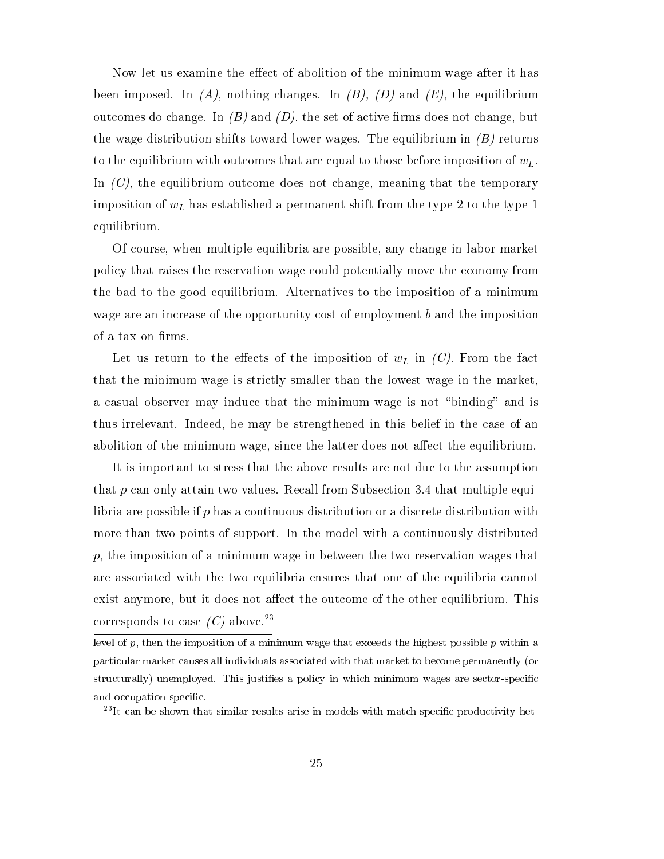Now let us examine the effect of abolition of the minimum wage after it has been imposed. In  $(A)$ , nothing changes. In  $(B)$ ,  $(D)$  and  $(E)$ , the equilibrium outcomes do change. In  $(B)$  and  $(D)$ , the set of active firms does not change, but the wage distribution shifts toward lower wages. The equilibrium in  $(B)$  returns to the equilibrium with outcomes that are equal to those before imposition of  $w<sub>L</sub>$ . In  $(C)$ , the equilibrium outcome does not change, meaning that the temporary imposition of  $w<sub>L</sub>$  has established a permanent shift from the type-2 to the type-1 equilibrium.

Of course, when multiple equilibria are possible, any change in labor market policy that raises the reservation wage could potentially move the economy from the bad to the good equilibrium. Alternatives to the imposition of a minimum wage are an increase of the opportunity cost of employment b and the imposition of a tax on firms.

Let us return to the effects of the imposition of  $w<sub>L</sub>$  in  $(C)$ . From the fact that the minimum wage is strictly smaller than the lowest wage in the market, a casual observer may induce that the minimum wage is not \binding" and is thus irrelevant. Indeed, he may be strengthened in this belief in the case of an abolition of the minimum wage, since the latter does not affect the equilibrium.

It is important to stress that the above results are not due to the assumption that <sup>p</sup> can only attain two values. Recall from Subsection 3.4 that multiple equilibria are possible if p has a continuous distribution or a discrete distribution with more than two points of support. In the model with a continuously distributed  $p$ , the imposition of a minimum wage in between the two reservation wages that are associated with the two equilibria ensures that one of the equilibria cannot exist anymore, but it does not affect the outcome of the other equilibrium. This corresponds to case  $(C)$  above.<sup>23</sup>

level of  $p$ , then the imposition of a minimum wage that exceeds the highest possible  $p$  within a particular market causes all individuals associated with that market to become permanently (or structurally) unemployed. This justifies a policy in which minimum wages are sector-specific and occupation-specic.

 $^{23}$ It can be shown that similar results arise in models with match-specific productivity het-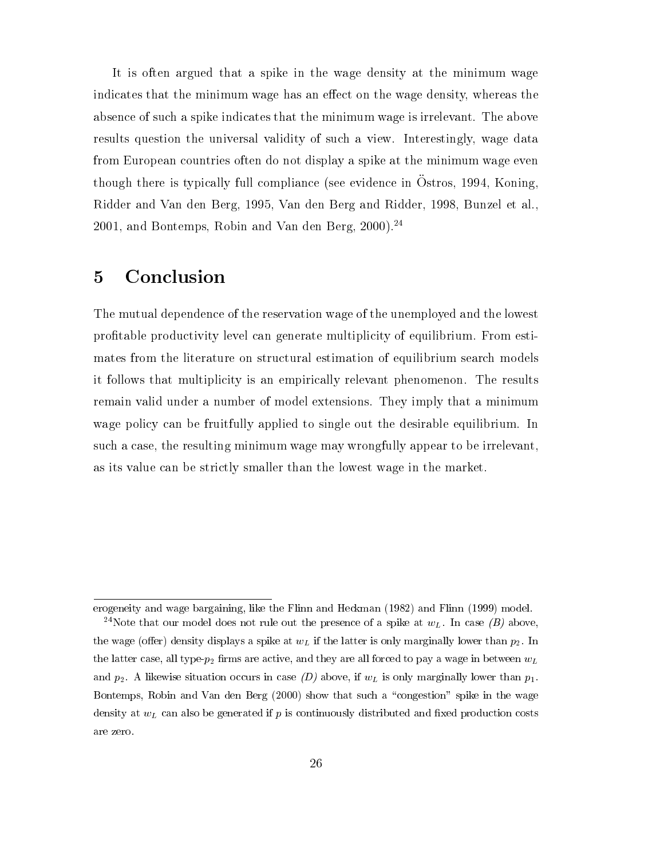It is often argued that a spike in the wage density at the minimum wage indicates that the minimum wage has an effect on the wage density, whereas the absence of such a spike indicates that the minimum wage is irrelevant. The above results question the universal validity of such a view. Interestingly, wage data from European countries often do not display a spike at the minimum wage even though there is typically full compliance (see evidence in Ostros, 1994, Koning, Ridder and Van den Berg, 1995, Van den Berg and Ridder, 1998, Bunzel et al.,  $2001$ , and Bontemps, Robin and Van den Berg,  $2000$ ).<sup>24</sup>

#### **Conclusion**  $\overline{5}$

The mutual dependence of the reservation wage of the unemployed and the lowest protable productivity level can generate multiplicity of equilibrium. From estimates from the literature on structural estimation of equilibrium search models it follows that multiplicity is an empirically relevant phenomenon. The results remain valid under a number of model extensions. They imply that a minimum wage policy can be fruitfully applied to single out the desirable equilibrium. In such a case, the resulting minimum wage may wrongfully appear to be irrelevant, as its value can be strictly smaller than the lowest wage in the market.

erogeneity and wage bargaining, like the Flinn and Heckman (1982) and Flinn (1999) model. <sup>24</sup>Note that our model does not rule out the presence of a spike at  $w<sub>L</sub>$ . In case (B) above, the wage (offer) density displays a spike at  $w<sub>L</sub>$  if the latter is only marginally lower than  $p<sub>2</sub>$ . In the latter case, all type- $p_2$  firms are active, and they are all forced to pay a wage in between  $w_L$ and  $p_2$ . A likewise situation occurs in case (D) above, if  $w_L$  is only marginally lower than  $p_1$ . Bontemps, Robin and Van den Berg (2000) show that such a "congestion" spike in the wage density at  $w<sub>L</sub>$  can also be generated if p is continuously distributed and fixed production costs are zero.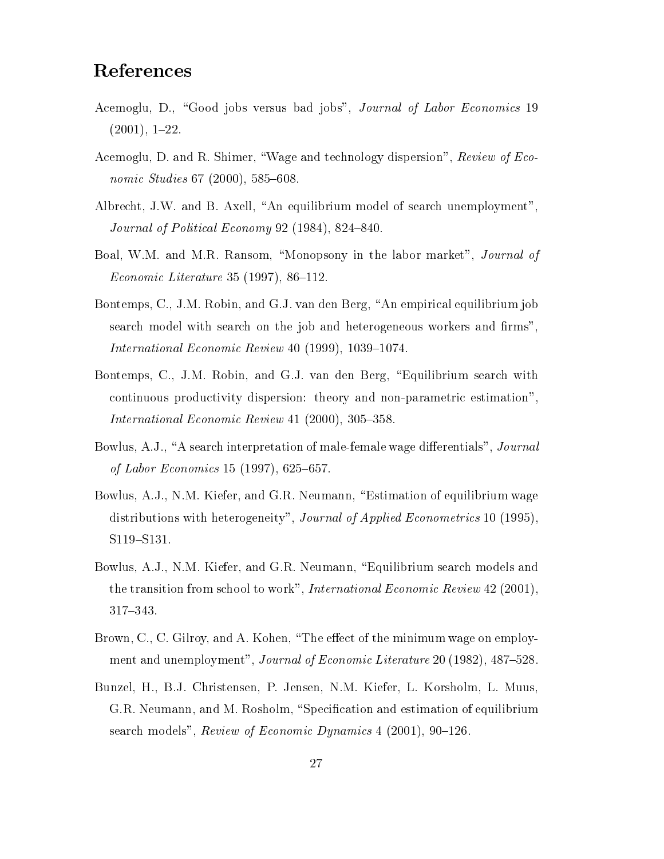## References

- Acemoglu, D., "Good jobs versus bad jobs", Journal of Labor Economics 19  $(2001), 1-22.$
- Acemoglu, D. and R. Shimer, "Wage and technology dispersion", Review of Economic Studies  $67$  (2000),  $585-608$ .
- Albrecht, J.W. and B. Axell, "An equilibrium model of search unemployment", Journal of Political Economy 92 (1984), 824-840.
- Boal, W.M. and M.R. Ransom, "Monopsony in the labor market", Journal of *Economic Literature* 35 (1997), 86-112.
- Bontemps, C., J.M. Robin, and G.J. van den Berg, "An empirical equilibrium job search model with search on the job and heterogeneous workers and firms", International Economic Review  $40$  (1999), 1039-1074.
- Bontemps, C., J.M. Robin, and G.J. van den Berg, "Equilibrium search with continuous productivity dispersion: theory and non-parametric estimation", International Economic Review  $41$  (2000), 305-358.
- Bowlus, A.J., "A search interpretation of male-female wage differentials", *Journal* of Labor Economics 15 (1997), 625–657.
- Bowlus, A.J., N.M. Kiefer, and G.R. Neumann, "Estimation of equilibrium wage distributions with heterogeneity", Journal of Applied Econometrics 10 (1995), S119-S131.
- Bowlus, A.J., N.M. Kiefer, and G.R. Neumann, "Equilibrium search models and the transition from school to work", International Economic Review 42 (2001), 317-343.
- Brown, C., C. Gilroy, and A. Kohen, "The effect of the minimum wage on employment and unemployment", Journal of Economic Literature 20 (1982), 487-528.
- Bunzel, H., B.J. Christensen, P. Jensen, N.M. Kiefer, L. Korsholm, L. Muus, G.R. Neumann, and M. Rosholm, "Specification and estimation of equilibrium search models", Review of Economic Dynamics  $4$  (2001), 90–126.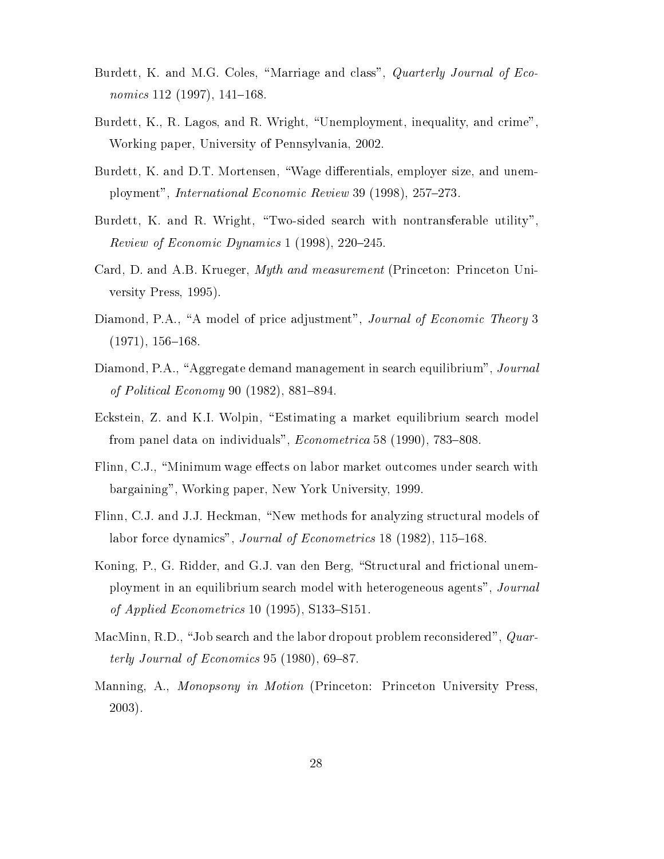- Burdett, K. and M.G. Coles, "Marriage and class", *Quarterly Journal of Eco*nomics  $112$  (1997),  $141–168$ .
- Burdett, K., R. Lagos, and R. Wright, "Unemployment, inequality, and crime", Working paper, University of Pennsylvania, 2002.
- Burdett, K. and D.T. Mortensen, "Wage differentials, employer size, and unemployment", International Economic Review 39 (1998),  $257-273$ .
- Burdett, K. and R. Wright, "Two-sided search with nontransferable utility". Review of Economic Dynamics 1 (1998),  $220-245$ .
- Card, D. and A.B. Krueger, Myth and measurement (Princeton: Princeton University Press, 1995).
- Diamond, P.A., "A model of price adjustment", Journal of Economic Theory 3  $(1971), 156–168.$
- Diamond, P.A., "Aggregate demand management in search equilibrium", Journal of Political Economy 90  $(1982)$ , 881-894.
- Eckstein, Z. and K.I. Wolpin, \Estimating a market equilibrium search model from panel data on individuals",  $Econometrica$  58 (1990), 783-808.
- Flinn, C.J., "Minimum wage effects on labor market outcomes under search with bargaining", Working paper, New York University, 1999.
- Flinn, C.J. and J.J. Heckman, "New methods for analyzing structural models of labor force dynamics", *Journal of Econometrics* 18 (1982), 115–168.
- Koning, P., G. Ridder, and G.J. van den Berg, "Structural and frictional unemployment in an equilibrium search model with heterogeneous agents", Journal of Applied Econometrics 10 (1995), S133–S151.
- MacMinn, R.D., "Job search and the labor dropout problem reconsidered",  $Quar$ terly Journal of Economics 95 (1980), 69-87.
- Manning, A., Monopsony in Motion (Princeton: Princeton University Press, 2003).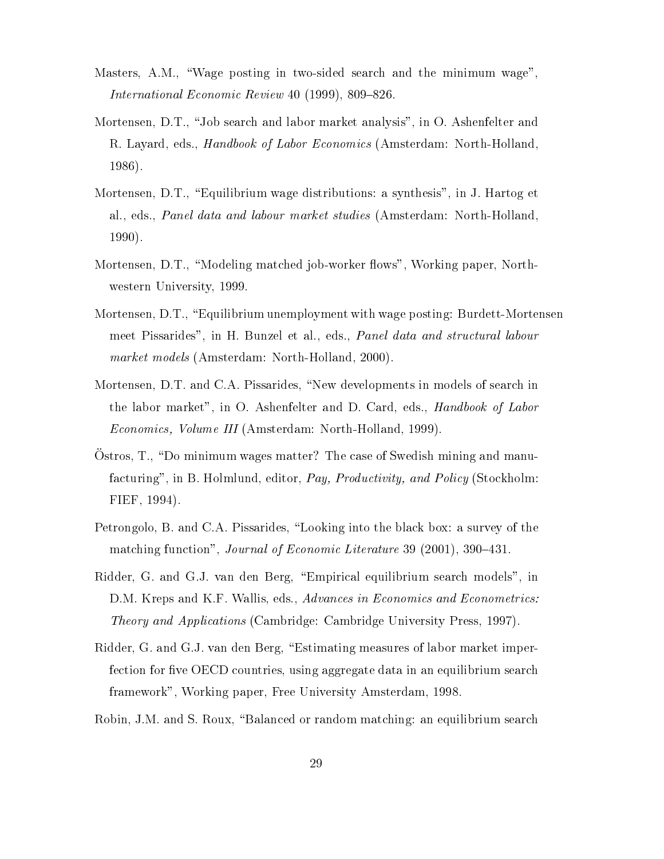- Masters, A.M., "Wage posting in two-sided search and the minimum wage",  $International Economic Review 40 (1999), 809-826.$
- Mortensen, D.T., "Job search and labor market analysis", in O. Ashenfelter and R. Layard, eds., *Handbook of Labor Economics* (Amsterdam: North-Holland, 1986).
- Mortensen, D.T., "Equilibrium wage distributions: a synthesis", in J. Hartog et al., eds., Panel data and labour market studies (Amsterdam: North-Holland, 1990).
- Mortensen, D.T., "Modeling matched job-worker flows", Working paper, Northwestern University, 1999.
- Mortensen, D.T., "Equilibrium unemployment with wage posting: Burdett-Mortensen meet Pissarides", in H. Bunzel et al., eds., Panel data and structural labour market models (Amsterdam: North-Holland, 2000).
- Mortensen, D.T. and C.A. Pissarides, "New developments in models of search in the labor market", in O. Ashenfelter and D. Card, eds., Handbook of Labor Economics, Volume III (Amsterdam: North-Holland, 1999).
- Ostros,  $T<sub>1</sub>$ , "Do minimum wages matter? The case of Swedish mining and manufacturing", in B. Holmlund, editor, Pay, Productivity, and Policy (Stockholm: FIEF, 1994).
- Petrongolo, B. and C.A. Pissarides, \Looking into the black box: a survey of the matching function", Journal of Economic Literature 39 (2001), 390-431.
- Ridder, G. and G.J. van den Berg, \Empirical equilibrium search models", in D.M. Kreps and K.F. Wallis, eds., Advances in Economics and Econometrics: Theory and Applications (Cambridge: Cambridge University Press, 1997).
- Ridder, G. and G.J. van den Berg, "Estimating measures of labor market imperfection for five OECD countries, using aggregate data in an equilibrium search framework", Working paper, Free University Amsterdam, 1998.
- Robin, J.M. and S. Roux, "Balanced or random matching: an equilibrium search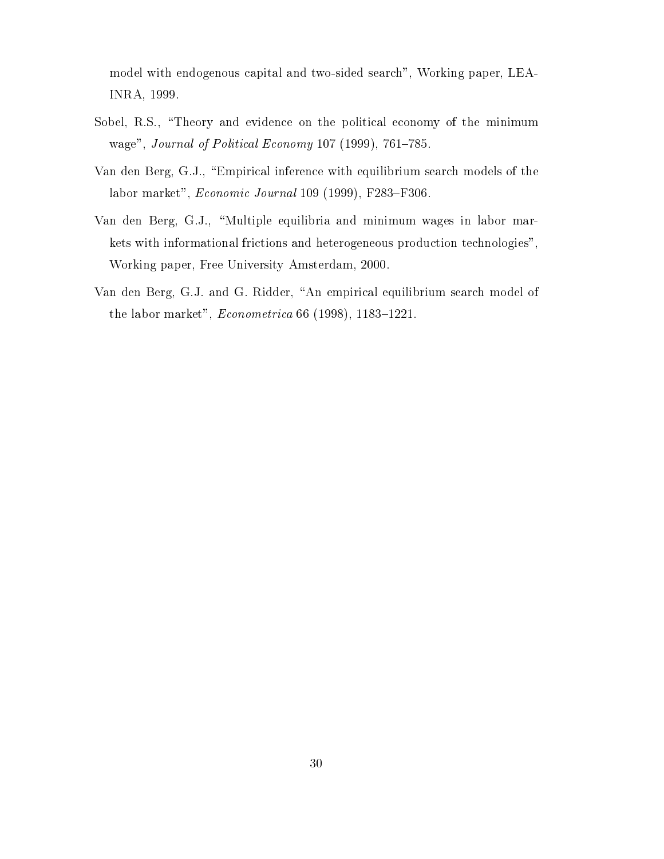model with endogenous capital and two-sided search", Working paper, LEA-INRA, 1999.

- Sobel, R.S., "Theory and evidence on the political economy of the minimum wage", Journal of Political Economy  $107$  (1999),  $761-785$ .
- Van den Berg, G.J., "Empirical inference with equilibrium search models of the labor market",  $Economic\ Journal$  109 (1999), F283-F306.
- Van den Berg, G.J., "Multiple equilibria and minimum wages in labor markets with informational frictions and heterogeneous production technologies", Working paper, Free University Amsterdam, 2000.
- Van den Berg, G.J. and G. Ridder, "An empirical equilibrium search model of the labor market",  $Econometrica 66 (1998), 1183-1221.$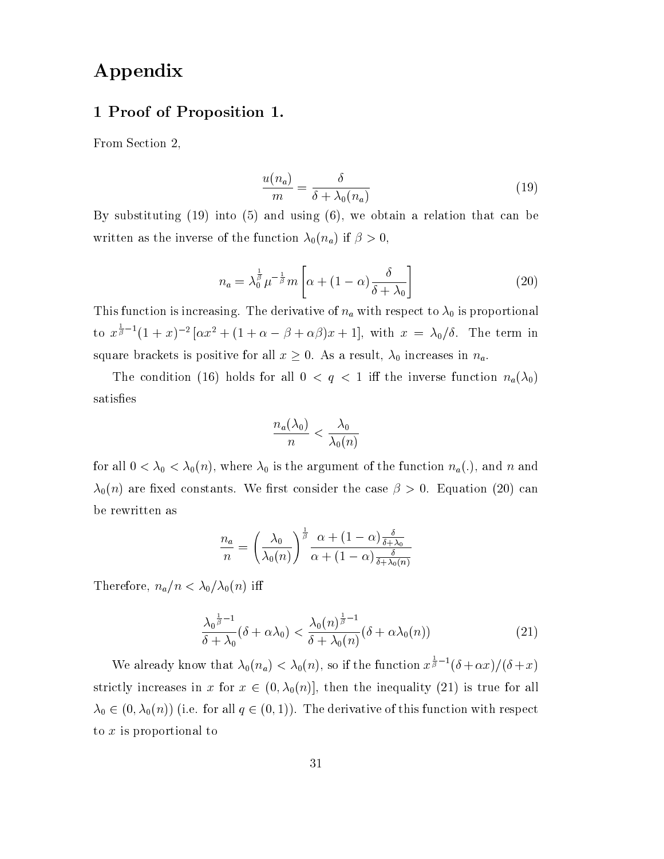# Appendix

### 1 Proof of Proposition 1.

From Section 2,

$$
\frac{u(n_a)}{m} = \frac{\delta}{\delta + \lambda_0(n_a)}\tag{19}
$$

By substituting (19) into (5) and using (6), we obtain a relation that can be written as the inverse of the function  $\lambda_0(n_a)$  if  $\beta > 0$ ,

$$
n_a = \lambda_0^{\frac{1}{\beta}} \mu^{-\frac{1}{\beta}} m \left[ \alpha + (1 - \alpha) \frac{\delta}{\delta + \lambda_0} \right] \tag{20}
$$

This function is increasing. The derivative of  $n_a$  with respect to  $\lambda_0$  is proportional to  $x^{\frac{1}{\beta}-1}(1+x)^{-2}[\alpha x^2+(1+\alpha-\beta+\alpha\beta)x+1]$ , with  $x=\lambda_0/\delta$ . The term in square brackets is positive for all  $x \geq 0$ . As a result,  $\lambda_0$  increases in  $n_a$ .

The condition (16) holds for all  $0 < q < 1$  iff the inverse function  $n_a(\lambda_0)$ satisfies

$$
\frac{n_a(\lambda_0)}{n} < \frac{\lambda_0}{\lambda_0(n)}
$$

for all  $0 < \lambda_0 < \lambda_0(n)$ , where  $\lambda_0$  is the argument of the function  $n_a(.)$ , and n and  $\lambda_0(n)$  are fixed constants. We first consider the case  $\beta > 0$ . Equation (20) can be rewritten as

$$
\frac{n_a}{n} = \left(\frac{\lambda_0}{\lambda_0(n)}\right)^{\frac{1}{\beta}} \frac{\alpha + (1-\alpha)\frac{\delta}{\delta + \lambda_0}}{\alpha + (1-\alpha)\frac{\delta}{\delta + \lambda_0(n)}}
$$

Therefore,  $n_a/n < \lambda_0/\lambda_0(n)$  iff

$$
\frac{\lambda_0^{\frac{1}{\beta}-1}}{\delta+\lambda_0}(\delta+\alpha\lambda_0)<\frac{\lambda_0(n)^{\frac{1}{\beta}-1}}{\delta+\lambda_0(n)}(\delta+\alpha\lambda_0(n))\tag{21}
$$

We already know that  $\lambda_0(n_a) < \lambda_0(n)$ , so if the function  $x^{\frac{1}{\beta}-1}(\delta+\alpha x)/(\delta+x)$ strictly increases in x for  $x \in (0, \lambda_0(n)]$ , then the inequality (21) is true for all  $\lambda_0 \in (0, \lambda_0(n))$  (i.e. for all  $q \in (0, 1)$ ). The derivative of this function with respect to <sup>x</sup> is proportional to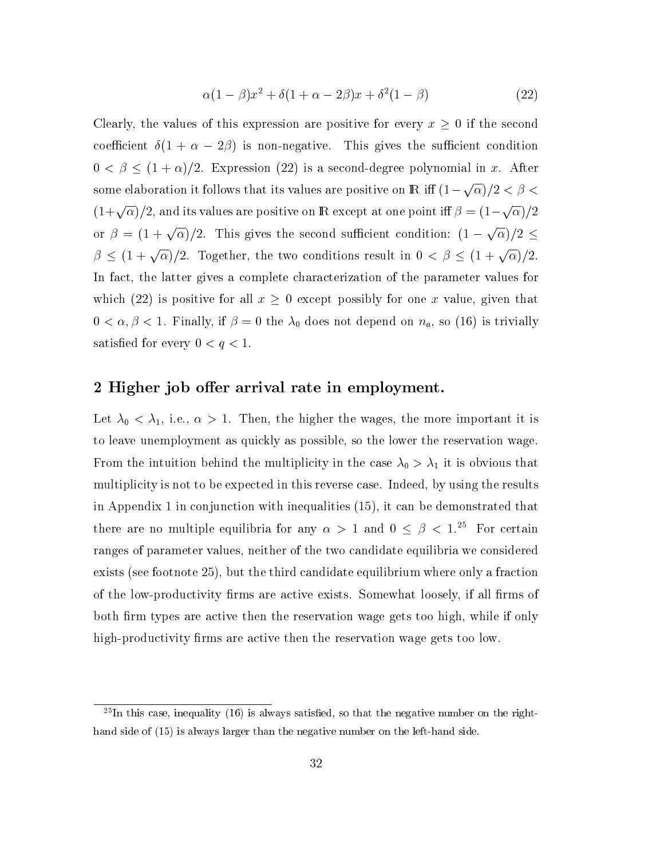$$
\alpha(1-\beta)x^2 + \delta(1+\alpha-2\beta)x + \delta^2(1-\beta)
$$
 (22)

Clearly, the values of this expression are positive for every  $x \geq 0$  if the second coefficient  $\delta(1 + \alpha - 2\beta)$  is non-negative. This gives the sufficient condition  $0 < \beta \leq (1 + \alpha)/2$ . Expression (22) is a second-degree polynomial in x. After some elaboration it follows that its values are positive on  $\mathrm{I\!R}$  iff  $(1-\sqrt{\alpha})/2 < \beta <$  $(1+\sqrt{\alpha})/2,$  and its values are positive on  ${\rm I\!R}$  except at one point iff  $\beta=(1-\sqrt{\alpha})/2$ or  $\beta = (1 + \sqrt{\alpha})/2$ . This gives the second sufficient condition:  $(1 - \sqrt{\alpha})/2 \leq$  $\beta \leq (1 + \sqrt{\alpha})/2$ . Together, the two conditions result in  $0 < \beta \leq (1 + \sqrt{\alpha})/2$ . In fact, the latter gives a complete characterization of the parameter values for which (22) is positive for all  $x \geq 0$  except possibly for one x value, given that  $0 < \alpha, \beta < 1$ . Finally, if  $\beta = 0$  the  $\lambda_0$  does not depend on  $n_a$ , so (16) is trivially satisfied for every  $0 < q < 1$ .

### 2 Higher job offer arrival rate in employment.

Let  $\lambda_0 < \lambda_1$ , i.e.,  $\alpha > 1$ . Then, the higher the wages, the more important it is to leave unemployment as quickly as possible, so the lower the reservation wage. From the intuition behind the multiplicity in the case  $\lambda_0 > \lambda_1$  it is obvious that multiplicity is not to be expected in this reverse case. Indeed, by using the results in Appendix 1 in conjunction with inequalities (15), it can be demonstrated that there are no multiple equilibria for any  $\alpha > 1$  and  $0 \le \beta < 1.^{25}$  For certain ranges of parameter values, neither of the two candidate equilibria we considered exists (see footnote 25), but the third candidate equilibrium where only a fraction of the low-productivity firms are active exists. Somewhat loosely, if all firms of both firm types are active then the reservation wage gets too high, while if only high-productivity firms are active then the reservation wage gets too low.

 $^{25}$ In this case, inequality (16) is always satisfied, so that the negative number on the righthand side of (15) is always larger than the negative number on the left-hand side.